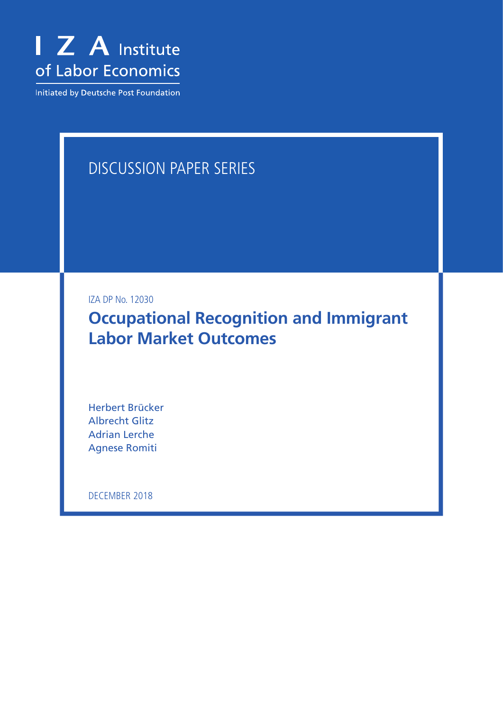

Initiated by Deutsche Post Foundation

# DISCUSSION PAPER SERIES

IZA DP No. 12030

**Occupational Recognition and Immigrant Labor Market Outcomes**

Herbert Brücker Albrecht Glitz Adrian Lerche Agnese Romiti

DECEMBER 2018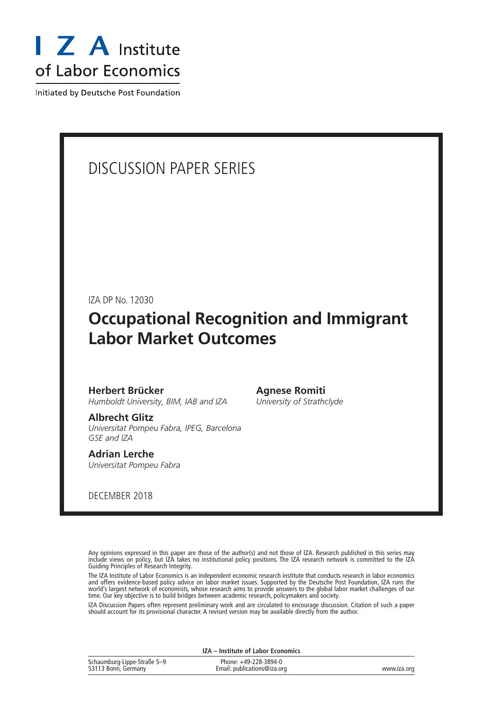

Initiated by Deutsche Post Foundation

## DISCUSSION PAPER SERIES

IZA DP No. 12030

## **Occupational Recognition and Immigrant Labor Market Outcomes**

**Agnese Romiti** *University of Strathclyde*

**Herbert Brücker** *Humboldt University, BIM, IAB and IZA*

**Albrecht Glitz** *Universitat Pompeu Fabra, IPEG, Barcelona GSE and IZA*

**Adrian Lerche** *Universitat Pompeu Fabra*

DECEMBER 2018

Any opinions expressed in this paper are those of the author(s) and not those of IZA. Research published in this series may include views on policy, but IZA takes no institutional policy positions. The IZA research network is committed to the IZA Guiding Principles of Research Integrity.

The IZA Institute of Labor Economics is an independent economic research institute that conducts research in labor economics and offers evidence-based policy advice on labor market issues. Supported by the Deutsche Post Foundation, IZA runs the world's largest network of economists, whose research aims to provide answers to the global labor market challenges of our time. Our key objective is to build bridges between academic research, policymakers and society.

IZA Discussion Papers often represent preliminary work and are circulated to encourage discussion. Citation of such a paper should account for its provisional character. A revised version may be available directly from the author.

|  |  | IZA - Institute of Labor Economics |  |
|--|--|------------------------------------|--|
|  |  |                                    |  |

| Schaumburg-Lippe-Straße 5-9 | Phone: +49-228-3894-0       |             |
|-----------------------------|-----------------------------|-------------|
| 53113 Bonn, Germany         | Email: publications@iza.org | www.iza.org |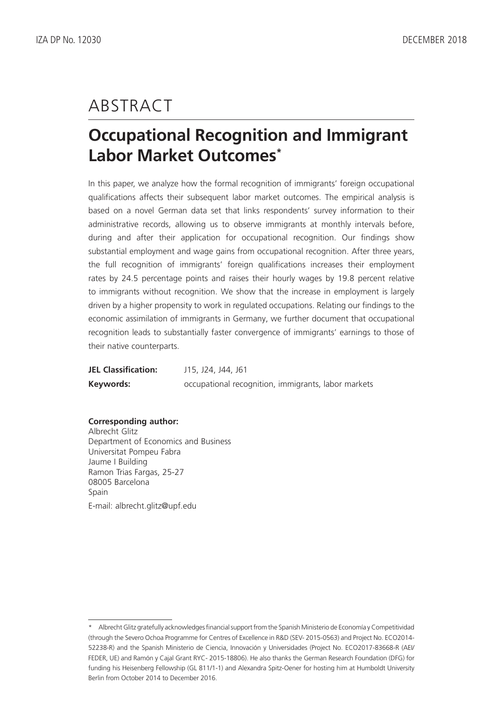# ABSTRACT

# **Occupational Recognition and Immigrant Labor Market Outcomes\***

In this paper, we analyze how the formal recognition of immigrants' foreign occupational qualifications affects their subsequent labor market outcomes. The empirical analysis is based on a novel German data set that links respondents' survey information to their administrative records, allowing us to observe immigrants at monthly intervals before, during and after their application for occupational recognition. Our findings show substantial employment and wage gains from occupational recognition. After three years, the full recognition of immigrants' foreign qualifications increases their employment rates by 24.5 percentage points and raises their hourly wages by 19.8 percent relative to immigrants without recognition. We show that the increase in employment is largely driven by a higher propensity to work in regulated occupations. Relating our findings to the economic assimilation of immigrants in Germany, we further document that occupational recognition leads to substantially faster convergence of immigrants' earnings to those of their native counterparts.

| <b>JEL Classification:</b> | J15, J24, J44, J61                                  |
|----------------------------|-----------------------------------------------------|
| Keywords:                  | occupational recognition, immigrants, labor markets |

#### **Corresponding author:**

Albrecht Glitz Department of Economics and Business Universitat Pompeu Fabra Jaume I Building Ramon Trias Fargas, 25-27 08005 Barcelona Spain E-mail: albrecht.glitz@upf.edu

<sup>\*</sup> Albrecht Glitz gratefully acknowledges financial support from the Spanish Ministerio de Economía y Competitividad (through the Severo Ochoa Programme for Centres of Excellence in R&D (SEV- 2015-0563) and Project No. ECO2014- 52238-R) and the Spanish Ministerio de Ciencia, Innovación y Universidades (Project No. ECO2017-83668-R (AEI/ FEDER, UE) and Ramón y Cajal Grant RYC- 2015-18806). He also thanks the German Research Foundation (DFG) for funding his Heisenberg Fellowship (GL 811/1-1) and Alexandra Spitz-Oener for hosting him at Humboldt University Berlin from October 2014 to December 2016.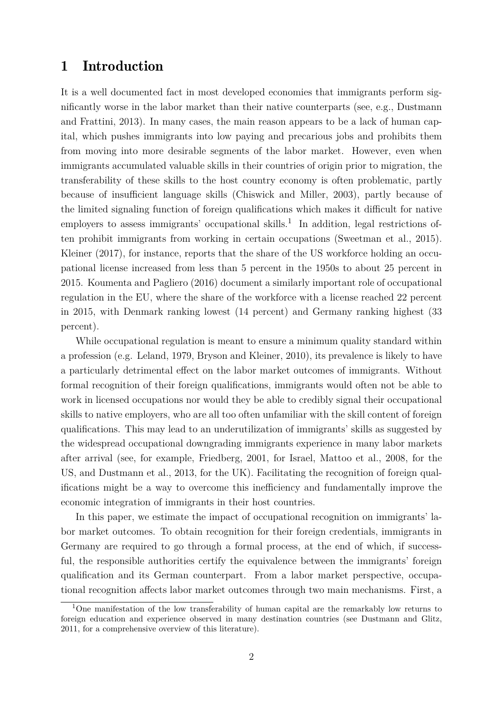### 1 Introduction

It is a well documented fact in most developed economies that immigrants perform significantly worse in the labor market than their native counterparts (see, e.g., [Dustmann](#page-33-0) [and Frattini, 2013\)](#page-33-0). In many cases, the main reason appears to be a lack of human capital, which pushes immigrants into low paying and precarious jobs and prohibits them from moving into more desirable segments of the labor market. However, even when immigrants accumulated valuable skills in their countries of origin prior to migration, the transferability of these skills to the host country economy is often problematic, partly because of insufficient language skills [\(Chiswick and Miller, 2003\)](#page-33-1), partly because of the limited signaling function of foreign qualifications which makes it difficult for native employers to assess immigrants' occupational skills.<sup>[1](#page-3-0)</sup> In addition, legal restrictions often prohibit immigrants from working in certain occupations [\(Sweetman et al., 2015\)](#page-34-0). [Kleiner](#page-33-2) [\(2017\)](#page-33-2), for instance, reports that the share of the US workforce holding an occupational license increased from less than 5 percent in the 1950s to about 25 percent in 2015. [Koumenta and Pagliero](#page-34-1) [\(2016\)](#page-34-1) document a similarly important role of occupational regulation in the EU, where the share of the workforce with a license reached 22 percent in 2015, with Denmark ranking lowest (14 percent) and Germany ranking highest (33 percent).

While occupational regulation is meant to ensure a minimum quality standard within a profession (e.g. [Leland, 1979,](#page-34-2) [Bryson and Kleiner, 2010\)](#page-32-0), its prevalence is likely to have a particularly detrimental effect on the labor market outcomes of immigrants. Without formal recognition of their foreign qualifications, immigrants would often not be able to work in licensed occupations nor would they be able to credibly signal their occupational skills to native employers, who are all too often unfamiliar with the skill content of foreign qualifications. This may lead to an underutilization of immigrants' skills as suggested by the widespread occupational downgrading immigrants experience in many labor markets after arrival (see, for example, [Friedberg, 2001,](#page-33-3) for Israel, [Mattoo et al., 2008,](#page-34-3) for the US, and [Dustmann et al., 2013,](#page-33-4) for the UK). Facilitating the recognition of foreign qualifications might be a way to overcome this inefficiency and fundamentally improve the economic integration of immigrants in their host countries.

In this paper, we estimate the impact of occupational recognition on immigrants' labor market outcomes. To obtain recognition for their foreign credentials, immigrants in Germany are required to go through a formal process, at the end of which, if successful, the responsible authorities certify the equivalence between the immigrants' foreign qualification and its German counterpart. From a labor market perspective, occupational recognition affects labor market outcomes through two main mechanisms. First, a

<span id="page-3-0"></span><sup>&</sup>lt;sup>1</sup>One manifestation of the low transferability of human capital are the remarkably low returns to foreign education and experience observed in many destination countries (see [Dustmann and Glitz,](#page-33-5) [2011,](#page-33-5) for a comprehensive overview of this literature).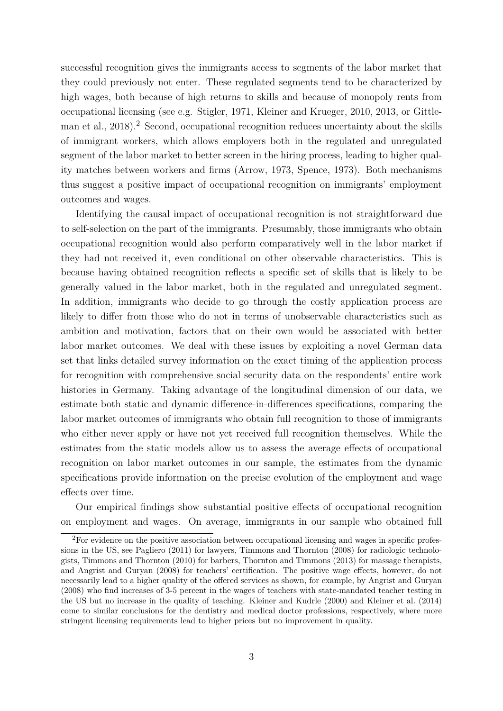successful recognition gives the immigrants access to segments of the labor market that they could previously not enter. These regulated segments tend to be characterized by high wages, both because of high returns to skills and because of monopoly rents from occupational licensing (see e.g. [Stigler, 1971,](#page-34-4) [Kleiner and Krueger, 2010,](#page-34-5) [2013,](#page-34-6) or [Gittle](#page-33-6)[man et al., 2018\)](#page-33-6).<sup>[2](#page-4-0)</sup> Second, occupational recognition reduces uncertainty about the skills of immigrant workers, which allows employers both in the regulated and unregulated segment of the labor market to better screen in the hiring process, leading to higher quality matches between workers and firms [\(Arrow, 1973,](#page-32-1) [Spence, 1973\)](#page-34-7). Both mechanisms thus suggest a positive impact of occupational recognition on immigrants' employment outcomes and wages.

Identifying the causal impact of occupational recognition is not straightforward due to self-selection on the part of the immigrants. Presumably, those immigrants who obtain occupational recognition would also perform comparatively well in the labor market if they had not received it, even conditional on other observable characteristics. This is because having obtained recognition reflects a specific set of skills that is likely to be generally valued in the labor market, both in the regulated and unregulated segment. In addition, immigrants who decide to go through the costly application process are likely to differ from those who do not in terms of unobservable characteristics such as ambition and motivation, factors that on their own would be associated with better labor market outcomes. We deal with these issues by exploiting a novel German data set that links detailed survey information on the exact timing of the application process for recognition with comprehensive social security data on the respondents' entire work histories in Germany. Taking advantage of the longitudinal dimension of our data, we estimate both static and dynamic difference-in-differences specifications, comparing the labor market outcomes of immigrants who obtain full recognition to those of immigrants who either never apply or have not yet received full recognition themselves. While the estimates from the static models allow us to assess the average effects of occupational recognition on labor market outcomes in our sample, the estimates from the dynamic specifications provide information on the precise evolution of the employment and wage effects over time.

Our empirical findings show substantial positive effects of occupational recognition on employment and wages. On average, immigrants in our sample who obtained full

<span id="page-4-0"></span><sup>&</sup>lt;sup>2</sup>For evidence on the positive association between occupational licensing and wages in specific professions in the US, see [Pagliero](#page-34-8) [\(2011\)](#page-34-8) for lawyers, [Timmons and Thornton](#page-35-0) [\(2008\)](#page-35-0) for radiologic technologists, [Timmons and Thornton](#page-35-1) [\(2010\)](#page-35-1) for barbers, [Thornton and Timmons](#page-35-2) [\(2013\)](#page-35-2) for massage therapists, and [Angrist and Guryan](#page-32-2) [\(2008\)](#page-32-2) for teachers' certification. The positive wage effects, however, do not necessarily lead to a higher quality of the offered services as shown, for example, by [Angrist and Guryan](#page-32-2) [\(2008\)](#page-32-2) who find increases of 3-5 percent in the wages of teachers with state-mandated teacher testing in the US but no increase in the quality of teaching. [Kleiner and Kudrle](#page-34-9) [\(2000\)](#page-34-9) and [Kleiner et al.](#page-33-7) [\(2014\)](#page-33-7) come to similar conclusions for the dentistry and medical doctor professions, respectively, where more stringent licensing requirements lead to higher prices but no improvement in quality.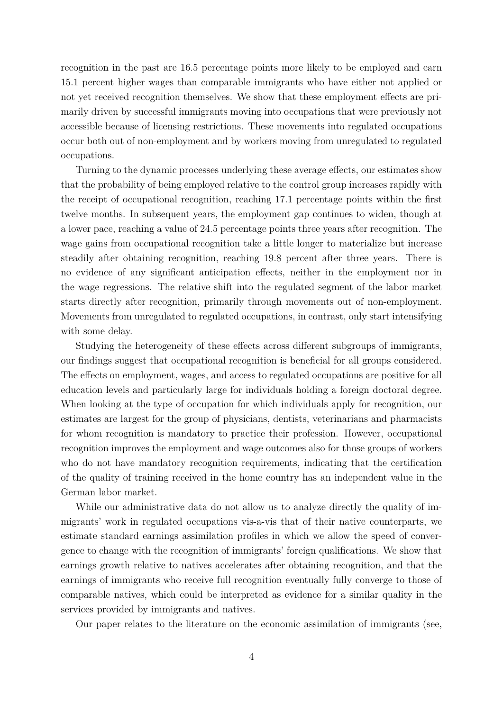recognition in the past are 16.5 percentage points more likely to be employed and earn 15.1 percent higher wages than comparable immigrants who have either not applied or not yet received recognition themselves. We show that these employment effects are primarily driven by successful immigrants moving into occupations that were previously not accessible because of licensing restrictions. These movements into regulated occupations occur both out of non-employment and by workers moving from unregulated to regulated occupations.

Turning to the dynamic processes underlying these average effects, our estimates show that the probability of being employed relative to the control group increases rapidly with the receipt of occupational recognition, reaching 17.1 percentage points within the first twelve months. In subsequent years, the employment gap continues to widen, though at a lower pace, reaching a value of 24.5 percentage points three years after recognition. The wage gains from occupational recognition take a little longer to materialize but increase steadily after obtaining recognition, reaching 19.8 percent after three years. There is no evidence of any significant anticipation effects, neither in the employment nor in the wage regressions. The relative shift into the regulated segment of the labor market starts directly after recognition, primarily through movements out of non-employment. Movements from unregulated to regulated occupations, in contrast, only start intensifying with some delay.

Studying the heterogeneity of these effects across different subgroups of immigrants, our findings suggest that occupational recognition is beneficial for all groups considered. The effects on employment, wages, and access to regulated occupations are positive for all education levels and particularly large for individuals holding a foreign doctoral degree. When looking at the type of occupation for which individuals apply for recognition, our estimates are largest for the group of physicians, dentists, veterinarians and pharmacists for whom recognition is mandatory to practice their profession. However, occupational recognition improves the employment and wage outcomes also for those groups of workers who do not have mandatory recognition requirements, indicating that the certification of the quality of training received in the home country has an independent value in the German labor market.

While our administrative data do not allow us to analyze directly the quality of immigrants' work in regulated occupations vis-a-vis that of their native counterparts, we estimate standard earnings assimilation profiles in which we allow the speed of convergence to change with the recognition of immigrants' foreign qualifications. We show that earnings growth relative to natives accelerates after obtaining recognition, and that the earnings of immigrants who receive full recognition eventually fully converge to those of comparable natives, which could be interpreted as evidence for a similar quality in the services provided by immigrants and natives.

Our paper relates to the literature on the economic assimilation of immigrants (see,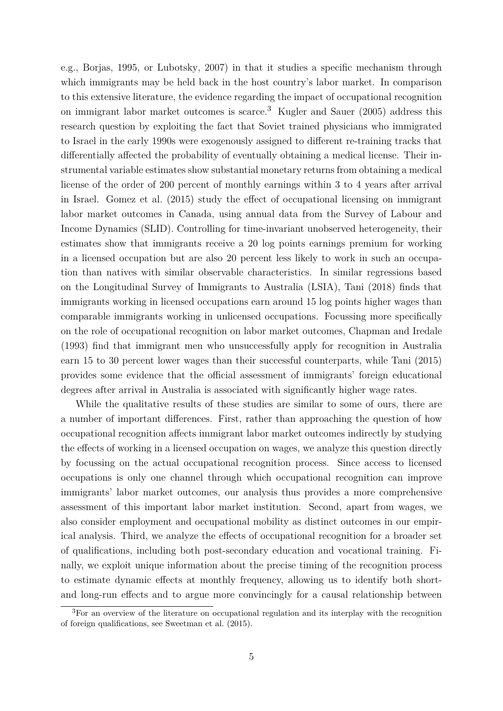e.g., [Borjas, 1995,](#page-32-3) or [Lubotsky, 2007\)](#page-34-10) in that it studies a specific mechanism through which immigrants may be held back in the host country's labor market. In comparison to this extensive literature, the evidence regarding the impact of occupational recognition on immigrant labor market outcomes is scarce.<sup>[3](#page-6-0)</sup> [Kugler and Sauer](#page-34-11)  $(2005)$  address this research question by exploiting the fact that Soviet trained physicians who immigrated to Israel in the early 1990s were exogenously assigned to different re-training tracks that differentially affected the probability of eventually obtaining a medical license. Their instrumental variable estimates show substantial monetary returns from obtaining a medical license of the order of 200 percent of monthly earnings within 3 to 4 years after arrival in Israel. [Gomez et al.](#page-33-8) [\(2015\)](#page-33-8) study the effect of occupational licensing on immigrant labor market outcomes in Canada, using annual data from the Survey of Labour and Income Dynamics (SLID). Controlling for time-invariant unobserved heterogeneity, their estimates show that immigrants receive a 20 log points earnings premium for working in a licensed occupation but are also 20 percent less likely to work in such an occupation than natives with similar observable characteristics. In similar regressions based on the Longitudinal Survey of Immigrants to Australia (LSIA), [Tani](#page-34-12) [\(2018\)](#page-34-12) finds that immigrants working in licensed occupations earn around 15 log points higher wages than comparable immigrants working in unlicensed occupations. Focussing more specifically on the role of occupational recognition on labor market outcomes, [Chapman and Iredale](#page-32-4) [\(1993\)](#page-32-4) find that immigrant men who unsuccessfully apply for recognition in Australia earn 15 to 30 percent lower wages than their successful counterparts, while [Tani](#page-34-13) [\(2015\)](#page-34-13) provides some evidence that the official assessment of immigrants' foreign educational degrees after arrival in Australia is associated with significantly higher wage rates.

While the qualitative results of these studies are similar to some of ours, there are a number of important differences. First, rather than approaching the question of how occupational recognition affects immigrant labor market outcomes indirectly by studying the effects of working in a licensed occupation on wages, we analyze this question directly by focussing on the actual occupational recognition process. Since access to licensed occupations is only one channel through which occupational recognition can improve immigrants' labor market outcomes, our analysis thus provides a more comprehensive assessment of this important labor market institution. Second, apart from wages, we also consider employment and occupational mobility as distinct outcomes in our empirical analysis. Third, we analyze the effects of occupational recognition for a broader set of qualifications, including both post-secondary education and vocational training. Finally, we exploit unique information about the precise timing of the recognition process to estimate dynamic effects at monthly frequency, allowing us to identify both shortand long-run effects and to argue more convincingly for a causal relationship between

<span id="page-6-0"></span><sup>&</sup>lt;sup>3</sup>For an overview of the literature on occupational regulation and its interplay with the recognition of foreign qualifications, see [Sweetman et al.](#page-34-0) [\(2015\)](#page-34-0).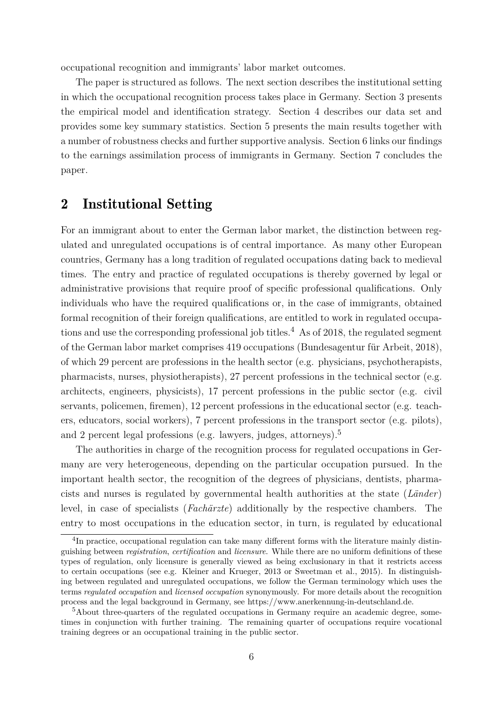occupational recognition and immigrants' labor market outcomes.

The paper is structured as follows. The next section describes the institutional setting in which the occupational recognition process takes place in Germany. Section [3](#page-10-0) presents the empirical model and identification strategy. Section [4](#page-13-0) describes our data set and provides some key summary statistics. Section [5](#page-19-0) presents the main results together with a number of robustness checks and further supportive analysis. Section [6](#page-28-0) links our findings to the earnings assimilation process of immigrants in Germany. Section [7](#page-31-0) concludes the paper.

### 2 Institutional Setting

For an immigrant about to enter the German labor market, the distinction between regulated and unregulated occupations is of central importance. As many other European countries, Germany has a long tradition of regulated occupations dating back to medieval times. The entry and practice of regulated occupations is thereby governed by legal or administrative provisions that require proof of specific professional qualifications. Only individuals who have the required qualifications or, in the case of immigrants, obtained formal recognition of their foreign qualifications, are entitled to work in regulated occupa-tions and use the corresponding professional job titles.<sup>[4](#page-7-0)</sup> As of 2018, the regulated segment of the German labor market comprises 419 occupations [\(Bundesagentur für Arbeit, 2018\)](#page-32-5), of which 29 percent are professions in the health sector (e.g. physicians, psychotherapists, pharmacists, nurses, physiotherapists), 27 percent professions in the technical sector (e.g. architects, engineers, physicists), 17 percent professions in the public sector (e.g. civil servants, policemen, firemen), 12 percent professions in the educational sector (e.g. teachers, educators, social workers), 7 percent professions in the transport sector (e.g. pilots), and 2 percent legal professions (e.g. lawyers, judges, attorneys).<sup>[5](#page-7-1)</sup>

The authorities in charge of the recognition process for regulated occupations in Germany are very heterogeneous, depending on the particular occupation pursued. In the important health sector, the recognition of the degrees of physicians, dentists, pharmacists and nurses is regulated by governmental health authorities at the state (*Länder*) level, in case of specialists (*Fachärzte*) additionally by the respective chambers. The entry to most occupations in the education sector, in turn, is regulated by educational

<span id="page-7-0"></span><sup>&</sup>lt;sup>4</sup>In practice, occupational regulation can take many different forms with the literature mainly distinguishing between *registration*, *certification* and *licensure*. While there are no uniform definitions of these types of regulation, only licensure is generally viewed as being exclusionary in that it restricts access to certain occupations (see e.g. [Kleiner and Krueger, 2013](#page-34-6) or [Sweetman et al., 2015\)](#page-34-0). In distinguishing between regulated and unregulated occupations, we follow the German terminology which uses the terms *regulated occupation* and *licensed occupation* synonymously. For more details about the recognition process and the legal background in Germany, see https://www.anerkennung-in-deutschland.de.

<span id="page-7-1"></span><sup>&</sup>lt;sup>5</sup>About three-quarters of the regulated occupations in Germany require an academic degree, sometimes in conjunction with further training. The remaining quarter of occupations require vocational training degrees or an occupational training in the public sector.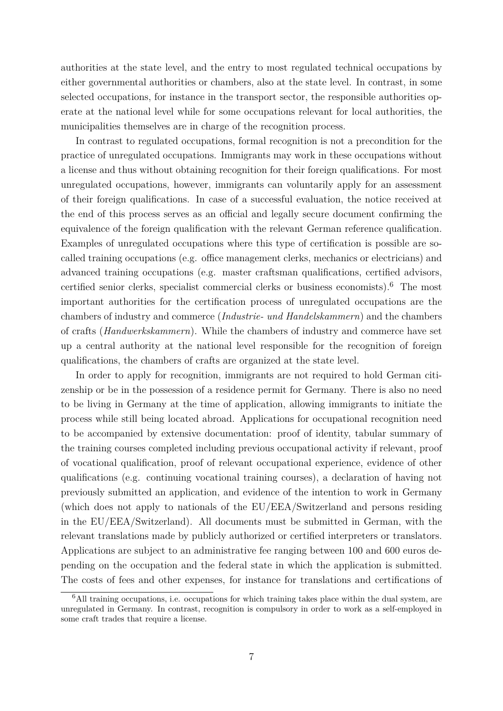authorities at the state level, and the entry to most regulated technical occupations by either governmental authorities or chambers, also at the state level. In contrast, in some selected occupations, for instance in the transport sector, the responsible authorities operate at the national level while for some occupations relevant for local authorities, the municipalities themselves are in charge of the recognition process.

In contrast to regulated occupations, formal recognition is not a precondition for the practice of unregulated occupations. Immigrants may work in these occupations without a license and thus without obtaining recognition for their foreign qualifications. For most unregulated occupations, however, immigrants can voluntarily apply for an assessment of their foreign qualifications. In case of a successful evaluation, the notice received at the end of this process serves as an official and legally secure document confirming the equivalence of the foreign qualification with the relevant German reference qualification. Examples of unregulated occupations where this type of certification is possible are socalled training occupations (e.g. office management clerks, mechanics or electricians) and advanced training occupations (e.g. master craftsman qualifications, certified advisors, certified senior clerks, specialist commercial clerks or business economists).[6](#page-8-0) The most important authorities for the certification process of unregulated occupations are the chambers of industry and commerce (*Industrie- und Handelskammern*) and the chambers of crafts (*Handwerkskammern*). While the chambers of industry and commerce have set up a central authority at the national level responsible for the recognition of foreign qualifications, the chambers of crafts are organized at the state level.

In order to apply for recognition, immigrants are not required to hold German citizenship or be in the possession of a residence permit for Germany. There is also no need to be living in Germany at the time of application, allowing immigrants to initiate the process while still being located abroad. Applications for occupational recognition need to be accompanied by extensive documentation: proof of identity, tabular summary of the training courses completed including previous occupational activity if relevant, proof of vocational qualification, proof of relevant occupational experience, evidence of other qualifications (e.g. continuing vocational training courses), a declaration of having not previously submitted an application, and evidence of the intention to work in Germany (which does not apply to nationals of the EU/EEA/Switzerland and persons residing in the EU/EEA/Switzerland). All documents must be submitted in German, with the relevant translations made by publicly authorized or certified interpreters or translators. Applications are subject to an administrative fee ranging between 100 and 600 euros depending on the occupation and the federal state in which the application is submitted. The costs of fees and other expenses, for instance for translations and certifications of

<span id="page-8-0"></span> $6$ All training occupations, i.e. occupations for which training takes place within the dual system, are unregulated in Germany. In contrast, recognition is compulsory in order to work as a self-employed in some craft trades that require a license.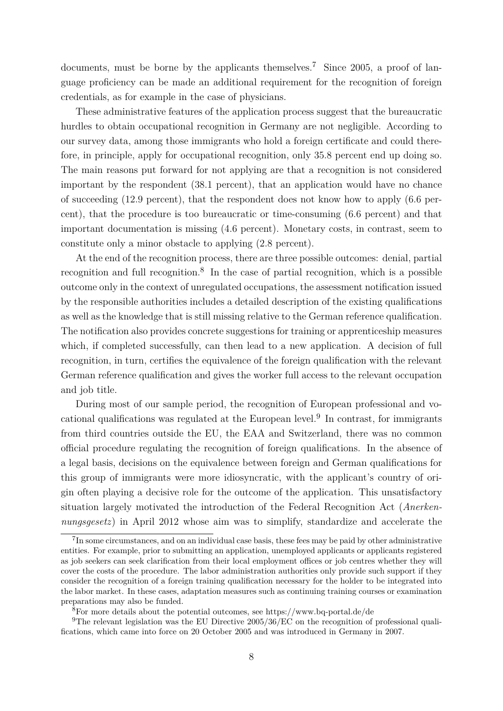documents, must be borne by the applicants themselves.<sup>[7](#page-9-0)</sup> Since 2005, a proof of language proficiency can be made an additional requirement for the recognition of foreign credentials, as for example in the case of physicians.

These administrative features of the application process suggest that the bureaucratic hurdles to obtain occupational recognition in Germany are not negligible. According to our survey data, among those immigrants who hold a foreign certificate and could therefore, in principle, apply for occupational recognition, only 35.8 percent end up doing so. The main reasons put forward for not applying are that a recognition is not considered important by the respondent (38.1 percent), that an application would have no chance of succeeding (12.9 percent), that the respondent does not know how to apply (6.6 percent), that the procedure is too bureaucratic or time-consuming (6.6 percent) and that important documentation is missing (4.6 percent). Monetary costs, in contrast, seem to constitute only a minor obstacle to applying (2.8 percent).

At the end of the recognition process, there are three possible outcomes: denial, partial recognition and full recognition.[8](#page-9-1) In the case of partial recognition, which is a possible outcome only in the context of unregulated occupations, the assessment notification issued by the responsible authorities includes a detailed description of the existing qualifications as well as the knowledge that is still missing relative to the German reference qualification. The notification also provides concrete suggestions for training or apprenticeship measures which, if completed successfully, can then lead to a new application. A decision of full recognition, in turn, certifies the equivalence of the foreign qualification with the relevant German reference qualification and gives the worker full access to the relevant occupation and job title.

During most of our sample period, the recognition of European professional and vo-cational qualifications was regulated at the European level.<sup>[9](#page-9-2)</sup> In contrast, for immigrants from third countries outside the EU, the EAA and Switzerland, there was no common official procedure regulating the recognition of foreign qualifications. In the absence of a legal basis, decisions on the equivalence between foreign and German qualifications for this group of immigrants were more idiosyncratic, with the applicant's country of origin often playing a decisive role for the outcome of the application. This unsatisfactory situation largely motivated the introduction of the Federal Recognition Act (*Anerkennungsgesetz*) in April 2012 whose aim was to simplify, standardize and accelerate the

<span id="page-9-0"></span><sup>&</sup>lt;sup>7</sup>In some circumstances, and on an individual case basis, these fees may be paid by other administrative entities. For example, prior to submitting an application, unemployed applicants or applicants registered as job seekers can seek clarification from their local employment offices or job centres whether they will cover the costs of the procedure. The labor administration authorities only provide such support if they consider the recognition of a foreign training qualification necessary for the holder to be integrated into the labor market. In these cases, adaptation measures such as continuing training courses or examination preparations may also be funded.

<span id="page-9-2"></span><span id="page-9-1"></span> $8F$  For more details about the potential outcomes, see https://www.bq-portal.de/de

<sup>&</sup>lt;sup>9</sup>The relevant legislation was the EU Directive  $2005/36$ /EC on the recognition of professional qualifications, which came into force on 20 October 2005 and was introduced in Germany in 2007.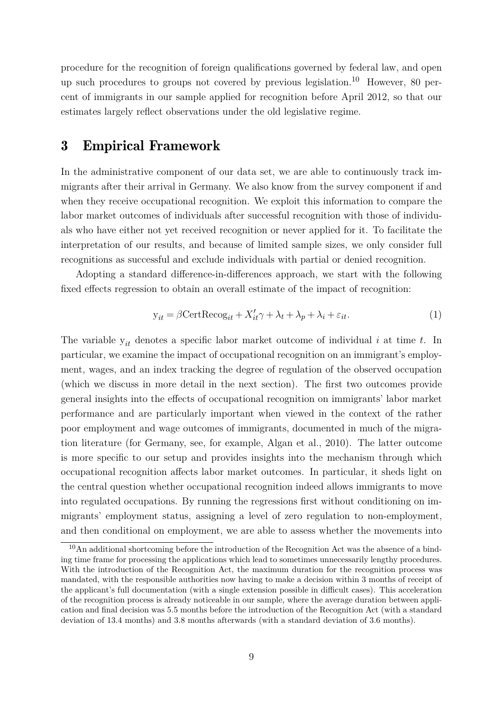procedure for the recognition of foreign qualifications governed by federal law, and open up such procedures to groups not covered by previous legislation.[10](#page-10-1) However, 80 percent of immigrants in our sample applied for recognition before April 2012, so that our estimates largely reflect observations under the old legislative regime.

### <span id="page-10-0"></span>3 Empirical Framework

In the administrative component of our data set, we are able to continuously track immigrants after their arrival in Germany. We also know from the survey component if and when they receive occupational recognition. We exploit this information to compare the labor market outcomes of individuals after successful recognition with those of individuals who have either not yet received recognition or never applied for it. To facilitate the interpretation of our results, and because of limited sample sizes, we only consider full recognitions as successful and exclude individuals with partial or denied recognition.

Adopting a standard difference-in-differences approach, we start with the following fixed effects regression to obtain an overall estimate of the impact of recognition:

<span id="page-10-2"></span>
$$
y_{it} = \beta \text{CertRecog}_{it} + X_{it}'\gamma + \lambda_t + \lambda_p + \lambda_i + \varepsilon_{it}.
$$
\n(1)

The variable y*it* denotes a specific labor market outcome of individual *i* at time *t*. In particular, we examine the impact of occupational recognition on an immigrant's employment, wages, and an index tracking the degree of regulation of the observed occupation (which we discuss in more detail in the next section). The first two outcomes provide general insights into the effects of occupational recognition on immigrants' labor market performance and are particularly important when viewed in the context of the rather poor employment and wage outcomes of immigrants, documented in much of the migration literature (for Germany, see, for example, [Algan et al., 2010\)](#page-32-6). The latter outcome is more specific to our setup and provides insights into the mechanism through which occupational recognition affects labor market outcomes. In particular, it sheds light on the central question whether occupational recognition indeed allows immigrants to move into regulated occupations. By running the regressions first without conditioning on immigrants' employment status, assigning a level of zero regulation to non-employment, and then conditional on employment, we are able to assess whether the movements into

<span id="page-10-1"></span> $10$ An additional shortcoming before the introduction of the Recognition Act was the absence of a binding time frame for processing the applications which lead to sometimes unnecessarily lengthy procedures. With the introduction of the Recognition Act, the maximum duration for the recognition process was mandated, with the responsible authorities now having to make a decision within 3 months of receipt of the applicant's full documentation (with a single extension possible in difficult cases). This acceleration of the recognition process is already noticeable in our sample, where the average duration between application and final decision was 5.5 months before the introduction of the Recognition Act (with a standard deviation of 13.4 months) and 3.8 months afterwards (with a standard deviation of 3.6 months).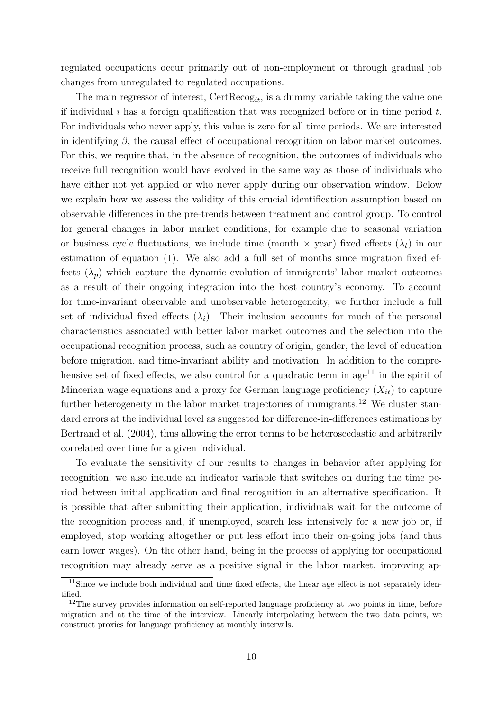regulated occupations occur primarily out of non-employment or through gradual job changes from unregulated to regulated occupations.

The main regressor of interest, CertRecog*it*, is a dummy variable taking the value one if individual *i* has a foreign qualification that was recognized before or in time period *t*. For individuals who never apply, this value is zero for all time periods. We are interested in identifying  $\beta$ , the causal effect of occupational recognition on labor market outcomes. For this, we require that, in the absence of recognition, the outcomes of individuals who receive full recognition would have evolved in the same way as those of individuals who have either not yet applied or who never apply during our observation window. Below we explain how we assess the validity of this crucial identification assumption based on observable differences in the pre-trends between treatment and control group. To control for general changes in labor market conditions, for example due to seasonal variation or business cycle fluctuations, we include time (month  $\times$  year) fixed effects  $(\lambda_t)$  in our estimation of equation [\(1\)](#page-10-2). We also add a full set of months since migration fixed effects  $(\lambda_p)$  which capture the dynamic evolution of immigrants' labor market outcomes as a result of their ongoing integration into the host country's economy. To account for time-invariant observable and unobservable heterogeneity, we further include a full set of individual fixed effects  $(\lambda_i)$ . Their inclusion accounts for much of the personal characteristics associated with better labor market outcomes and the selection into the occupational recognition process, such as country of origin, gender, the level of education before migration, and time-invariant ability and motivation. In addition to the comprehensive set of fixed effects, we also control for a quadratic term in  $age^{11}$  $age^{11}$  $age^{11}$  in the spirit of Mincerian wage equations and a proxy for German language proficiency  $(X_{it})$  to capture further heterogeneity in the labor market trajectories of immigrants.<sup>[12](#page-11-1)</sup> We cluster standard errors at the individual level as suggested for difference-in-differences estimations by [Bertrand et al.](#page-32-7) [\(2004\)](#page-32-7), thus allowing the error terms to be heteroscedastic and arbitrarily correlated over time for a given individual.

To evaluate the sensitivity of our results to changes in behavior after applying for recognition, we also include an indicator variable that switches on during the time period between initial application and final recognition in an alternative specification. It is possible that after submitting their application, individuals wait for the outcome of the recognition process and, if unemployed, search less intensively for a new job or, if employed, stop working altogether or put less effort into their on-going jobs (and thus earn lower wages). On the other hand, being in the process of applying for occupational recognition may already serve as a positive signal in the labor market, improving ap-

<span id="page-11-0"></span><sup>&</sup>lt;sup>11</sup>Since we include both individual and time fixed effects, the linear age effect is not separately identified.

<span id="page-11-1"></span><sup>&</sup>lt;sup>12</sup>The survey provides information on self-reported language proficiency at two points in time, before migration and at the time of the interview. Linearly interpolating between the two data points, we construct proxies for language proficiency at monthly intervals.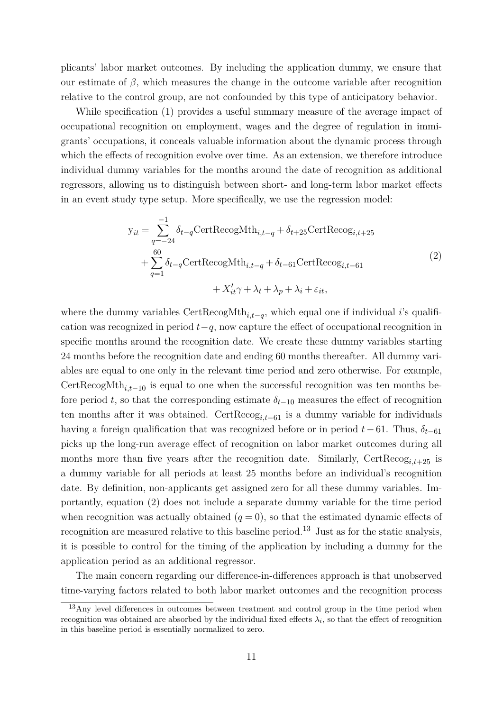plicants' labor market outcomes. By including the application dummy, we ensure that our estimate of  $\beta$ , which measures the change in the outcome variable after recognition relative to the control group, are not confounded by this type of anticipatory behavior.

While specification [\(1\)](#page-10-2) provides a useful summary measure of the average impact of occupational recognition on employment, wages and the degree of regulation in immigrants' occupations, it conceals valuable information about the dynamic process through which the effects of recognition evolve over time. As an extension, we therefore introduce individual dummy variables for the months around the date of recognition as additional regressors, allowing us to distinguish between short- and long-term labor market effects in an event study type setup. More specifically, we use the regression model:

$$
y_{it} = \sum_{q=-24}^{-1} \delta_{t-q} \text{CertRecogMth}_{i,t-q} + \delta_{t+25} \text{CertRecog}_{i,t+25}
$$
  
+ 
$$
\sum_{q=1}^{60} \delta_{t-q} \text{CertRecogMth}_{i,t-q} + \delta_{t-61} \text{CertRecog}_{i,t-61}
$$
  
+ 
$$
X'_{it}\gamma + \lambda_t + \lambda_p + \lambda_i + \varepsilon_{it},
$$
 (2)

<span id="page-12-0"></span>where the dummy variables CertRecogMth*i,t*−*<sup>q</sup>* , which equal one if individual *i*'s qualification was recognized in period *t*−*q*, now capture the effect of occupational recognition in specific months around the recognition date. We create these dummy variables starting 24 months before the recognition date and ending 60 months thereafter. All dummy variables are equal to one only in the relevant time period and zero otherwise. For example, CertRecogMth*i,t*−<sup>10</sup> is equal to one when the successful recognition was ten months before period *t*, so that the corresponding estimate  $\delta_{t-10}$  measures the effect of recognition ten months after it was obtained. CertRecog*i,t*−<sup>61</sup> is a dummy variable for individuals having a foreign qualification that was recognized before or in period  $t-61$ . Thus,  $\delta_{t-61}$ picks up the long-run average effect of recognition on labor market outcomes during all months more than five years after the recognition date. Similarly,  $CertRecog_{i,t+25}$  is a dummy variable for all periods at least 25 months before an individual's recognition date. By definition, non-applicants get assigned zero for all these dummy variables. Importantly, equation [\(2\)](#page-12-0) does not include a separate dummy variable for the time period when recognition was actually obtained  $(q = 0)$ , so that the estimated dynamic effects of recognition are measured relative to this baseline period.<sup>[13](#page-12-1)</sup> Just as for the static analysis, it is possible to control for the timing of the application by including a dummy for the application period as an additional regressor.

The main concern regarding our difference-in-differences approach is that unobserved time-varying factors related to both labor market outcomes and the recognition process

<span id="page-12-1"></span> $13$ Any level differences in outcomes between treatment and control group in the time period when recognition was obtained are absorbed by the individual fixed effects  $\lambda_i$ , so that the effect of recognition in this baseline period is essentially normalized to zero.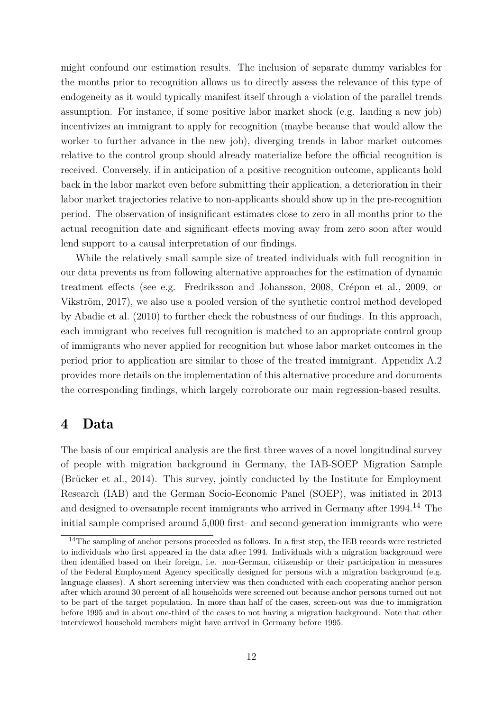might confound our estimation results. The inclusion of separate dummy variables for the months prior to recognition allows us to directly assess the relevance of this type of endogeneity as it would typically manifest itself through a violation of the parallel trends assumption. For instance, if some positive labor market shock (e.g. landing a new job) incentivizes an immigrant to apply for recognition (maybe because that would allow the worker to further advance in the new job), diverging trends in labor market outcomes relative to the control group should already materialize before the official recognition is received. Conversely, if in anticipation of a positive recognition outcome, applicants hold back in the labor market even before submitting their application, a deterioration in their labor market trajectories relative to non-applicants should show up in the pre-recognition period. The observation of insignificant estimates close to zero in all months prior to the actual recognition date and significant effects moving away from zero soon after would lend support to a causal interpretation of our findings.

While the relatively small sample size of treated individuals with full recognition in our data prevents us from following alternative approaches for the estimation of dynamic treatment effects (see e.g. [Fredriksson and Johansson, 2008,](#page-33-9) [Crépon et al., 2009,](#page-33-10) or [Vikström, 2017\)](#page-35-3), we also use a pooled version of the synthetic control method developed by [Abadie et al.](#page-32-8) [\(2010\)](#page-32-8) to further check the robustness of our findings. In this approach, each immigrant who receives full recognition is matched to an appropriate control group of immigrants who never applied for recognition but whose labor market outcomes in the period prior to application are similar to those of the treated immigrant. Appendix [A.2](#page-42-0) provides more details on the implementation of this alternative procedure and documents the corresponding findings, which largely corroborate our main regression-based results.

### <span id="page-13-0"></span>4 Data

The basis of our empirical analysis are the first three waves of a novel longitudinal survey of people with migration background in Germany, the IAB-SOEP Migration Sample [\(Brücker et al., 2014\)](#page-32-9). This survey, jointly conducted by the Institute for Employment Research (IAB) and the German Socio-Economic Panel (SOEP), was initiated in 2013 and designed to oversample recent immigrants who arrived in Germany after 1994.<sup>[14](#page-13-1)</sup> The initial sample comprised around 5,000 first- and second-generation immigrants who were

<span id="page-13-1"></span><sup>&</sup>lt;sup>14</sup>The sampling of anchor persons proceeded as follows. In a first step, the IEB records were restricted to individuals who first appeared in the data after 1994. Individuals with a migration background were then identified based on their foreign, i.e. non-German, citizenship or their participation in measures of the Federal Employment Agency specifically designed for persons with a migration background (e.g. language classes). A short screening interview was then conducted with each cooperating anchor person after which around 30 percent of all households were screened out because anchor persons turned out not to be part of the target population. In more than half of the cases, screen-out was due to immigration before 1995 and in about one-third of the cases to not having a migration background. Note that other interviewed household members might have arrived in Germany before 1995.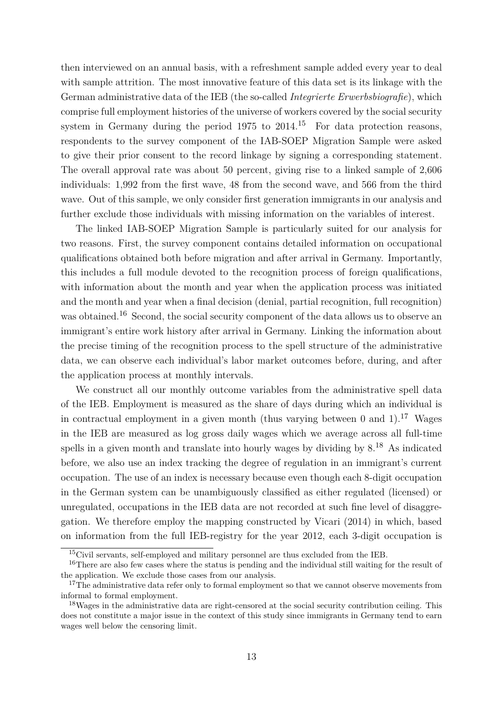then interviewed on an annual basis, with a refreshment sample added every year to deal with sample attrition. The most innovative feature of this data set is its linkage with the German administrative data of the IEB (the so-called *Integrierte Erwerbsbiografie*), which comprise full employment histories of the universe of workers covered by the social security system in Germany during the period  $1975$  to  $2014<sup>15</sup>$  $2014<sup>15</sup>$  $2014<sup>15</sup>$  For data protection reasons, respondents to the survey component of the IAB-SOEP Migration Sample were asked to give their prior consent to the record linkage by signing a corresponding statement. The overall approval rate was about 50 percent, giving rise to a linked sample of 2,606 individuals: 1,992 from the first wave, 48 from the second wave, and 566 from the third wave. Out of this sample, we only consider first generation immigrants in our analysis and further exclude those individuals with missing information on the variables of interest.

The linked IAB-SOEP Migration Sample is particularly suited for our analysis for two reasons. First, the survey component contains detailed information on occupational qualifications obtained both before migration and after arrival in Germany. Importantly, this includes a full module devoted to the recognition process of foreign qualifications, with information about the month and year when the application process was initiated and the month and year when a final decision (denial, partial recognition, full recognition) was obtained.<sup>[16](#page-14-1)</sup> Second, the social security component of the data allows us to observe an immigrant's entire work history after arrival in Germany. Linking the information about the precise timing of the recognition process to the spell structure of the administrative data, we can observe each individual's labor market outcomes before, during, and after the application process at monthly intervals.

We construct all our monthly outcome variables from the administrative spell data of the IEB. Employment is measured as the share of days during which an individual is in contractual employment in a given month (thus varying between 0 and 1).<sup>[17](#page-14-2)</sup> Wages in the IEB are measured as log gross daily wages which we average across all full-time spells in a given month and translate into hourly wages by dividing by 8.[18](#page-14-3) As indicated before, we also use an index tracking the degree of regulation in an immigrant's current occupation. The use of an index is necessary because even though each 8-digit occupation in the German system can be unambiguously classified as either regulated (licensed) or unregulated, occupations in the IEB data are not recorded at such fine level of disaggregation. We therefore employ the mapping constructed by [Vicari](#page-35-4) [\(2014\)](#page-35-4) in which, based on information from the full IEB-registry for the year 2012, each 3-digit occupation is

<span id="page-14-1"></span><span id="page-14-0"></span><sup>15</sup>Civil servants, self-employed and military personnel are thus excluded from the IEB.

<sup>&</sup>lt;sup>16</sup>There are also few cases where the status is pending and the individual still waiting for the result of the application. We exclude those cases from our analysis.

<span id="page-14-2"></span><sup>&</sup>lt;sup>17</sup>The administrative data refer only to formal employment so that we cannot observe movements from informal to formal employment.

<span id="page-14-3"></span><sup>&</sup>lt;sup>18</sup>Wages in the administrative data are right-censored at the social security contribution ceiling. This does not constitute a major issue in the context of this study since immigrants in Germany tend to earn wages well below the censoring limit.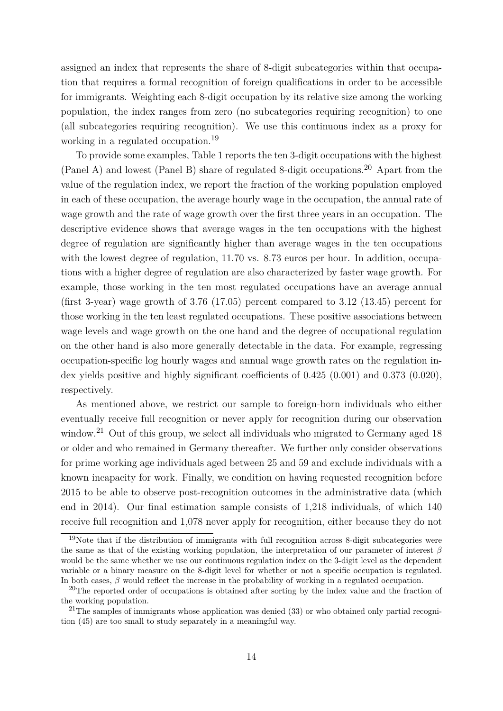assigned an index that represents the share of 8-digit subcategories within that occupation that requires a formal recognition of foreign qualifications in order to be accessible for immigrants. Weighting each 8-digit occupation by its relative size among the working population, the index ranges from zero (no subcategories requiring recognition) to one (all subcategories requiring recognition). We use this continuous index as a proxy for working in a regulated occupation.<sup>[19](#page-15-0)</sup>

To provide some examples, Table [1](#page-16-0) reports the ten 3-digit occupations with the highest (Panel A) and lowest (Panel B) share of regulated 8-digit occupations.<sup>[20](#page-15-1)</sup> Apart from the value of the regulation index, we report the fraction of the working population employed in each of these occupation, the average hourly wage in the occupation, the annual rate of wage growth and the rate of wage growth over the first three years in an occupation. The descriptive evidence shows that average wages in the ten occupations with the highest degree of regulation are significantly higher than average wages in the ten occupations with the lowest degree of regulation,  $11.70$  vs.  $8.73$  euros per hour. In addition, occupations with a higher degree of regulation are also characterized by faster wage growth. For example, those working in the ten most regulated occupations have an average annual (first 3-year) wage growth of 3.76 (17.05) percent compared to 3.12 (13.45) percent for those working in the ten least regulated occupations. These positive associations between wage levels and wage growth on the one hand and the degree of occupational regulation on the other hand is also more generally detectable in the data. For example, regressing occupation-specific log hourly wages and annual wage growth rates on the regulation index yields positive and highly significant coefficients of 0.425 (0.001) and 0.373 (0.020), respectively.

As mentioned above, we restrict our sample to foreign-born individuals who either eventually receive full recognition or never apply for recognition during our observation window.<sup>[21](#page-15-2)</sup> Out of this group, we select all individuals who migrated to Germany aged 18 or older and who remained in Germany thereafter. We further only consider observations for prime working age individuals aged between 25 and 59 and exclude individuals with a known incapacity for work. Finally, we condition on having requested recognition before 2015 to be able to observe post-recognition outcomes in the administrative data (which end in 2014). Our final estimation sample consists of 1,218 individuals, of which 140 receive full recognition and 1,078 never apply for recognition, either because they do not

<span id="page-15-0"></span><sup>19</sup>Note that if the distribution of immigrants with full recognition across 8-digit subcategories were the same as that of the existing working population, the interpretation of our parameter of interest *β* would be the same whether we use our continuous regulation index on the 3-digit level as the dependent variable or a binary measure on the 8-digit level for whether or not a specific occupation is regulated. In both cases, *β* would reflect the increase in the probability of working in a regulated occupation.

<span id="page-15-1"></span> $^{20}$ The reported order of occupations is obtained after sorting by the index value and the fraction of the working population.

<span id="page-15-2"></span> $^{21}$ The samples of immigrants whose application was denied  $(33)$  or who obtained only partial recognition (45) are too small to study separately in a meaningful way.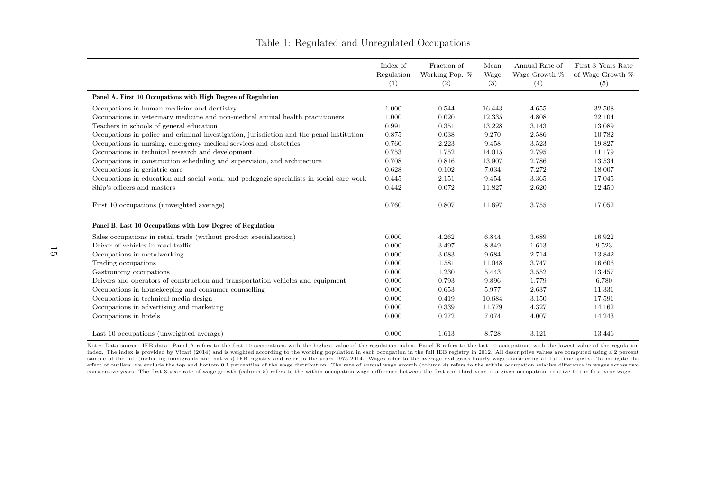|                                                                                          | Index of<br>Regulation<br>(1) | Fraction of<br>Working Pop. %<br>(2) | Mean<br>Wage<br>(3) | Annual Rate of<br>Wage Growth $\%$<br>(4) | First 3 Years Rate<br>of Wage Growth %<br>(5) |
|------------------------------------------------------------------------------------------|-------------------------------|--------------------------------------|---------------------|-------------------------------------------|-----------------------------------------------|
| Panel A. First 10 Occupations with High Degree of Regulation                             |                               |                                      |                     |                                           |                                               |
| Occupations in human medicine and dentistry                                              | 1.000                         | 0.544                                | 16.443              | 4.655                                     | 32.508                                        |
| Occupations in veterinary medicine and non-medical animal health practitioners           | 1.000                         | 0.020                                | 12.335              | 4.808                                     | 22.104                                        |
| Teachers in schools of general education                                                 | 0.991                         | 0.351                                | 13.228              | 3.143                                     | 13.089                                        |
| Occupations in police and criminal investigation, jurisdiction and the penal institution | 0.875                         | 0.038                                | 9.270               | 2.586                                     | 10.782                                        |
| Occupations in nursing, emergency medical services and obstetrics                        | 0.760                         | 2.223                                | 9.458               | 3.523                                     | 19.827                                        |
| Occupations in technical research and development                                        | 0.753                         | 1.752                                | 14.015              | 2.795                                     | 11.179                                        |
| Occupations in construction scheduling and supervision, and architecture                 | 0.708                         | 0.816                                | 13.907              | 2.786                                     | 13.534                                        |
| Occupations in geriatric care                                                            | 0.628                         | 0.102                                | 7.034               | 7.272                                     | 18.007                                        |
| Occupations in education and social work, and pedagogic specialists in social care work  | 0.445                         | 2.151                                | 9.454               | 3.365                                     | 17.045                                        |
| Ship's officers and masters                                                              | 0.442                         | 0.072                                | 11.827              | 2.620                                     | 12.450                                        |
| First 10 occupations (unweighted average)                                                | 0.760                         | 0.807                                | 11.697              | 3.755                                     | 17.052                                        |
| Panel B. Last 10 Occupations with Low Degree of Regulation                               |                               |                                      |                     |                                           |                                               |
| Sales occupations in retail trade (without product specialisation)                       | 0.000                         | 4.262                                | 6.844               | 3.689                                     | 16.922                                        |
| Driver of vehicles in road traffic                                                       | 0.000                         | 3.497                                | 8.849               | 1.613                                     | 9.523                                         |
| Occupations in metalworking                                                              | 0.000                         | 3.083                                | 9.684               | 2.714                                     | 13.842                                        |
| Trading occupations                                                                      | 0.000                         | 1.581                                | 11.048              | 3.747                                     | 16.606                                        |
| Gastronomy occupations                                                                   | 0.000                         | 1.230                                | 5.443               | 3.552                                     | 13.457                                        |
| Drivers and operators of construction and transportation vehicles and equipment          | 0.000                         | 0.793                                | 9.896               | 1.779                                     | 6.780                                         |
| Occupations in housekeeping and consumer counselling                                     | 0.000                         | 0.653                                | 5.977               | 2.637                                     | 11.331                                        |
| Occupations in technical media design                                                    | 0.000                         | 0.419                                | 10.684              | 3.150                                     | 17.591                                        |
| Occupations in advertising and marketing                                                 | 0.000                         | 0.339                                | 11.779              | 4.327                                     | 14.162                                        |
| Occupations in hotels                                                                    | 0.000                         | 0.272                                | 7.074               | 4.007                                     | 14.243                                        |
| Last 10 occupations (unweighted average)                                                 | 0.000                         | 1.613                                | 8.728               | 3.121                                     | 13.446                                        |

#### Table 1: Regulated and Unregulated Occupations

<span id="page-16-0"></span>Note: Data source: IEB data. Panel A refers to the first 10 occupations with the highest value of the regulation index. Panel B refers to the last 10 occupations with the lowest value of the regulation index. The index is provided by [Vicari](#page-35-5) [\(2014\)](#page-35-5) and is weighted according to the working population in each occupation in the full IEB registry in 2012. All descriptive values are computed using <sup>a</sup> <sup>2</sup> percentsample of the full (including immigrants and natives) IEB registry and refer to the years 1975-2014. Wages refer to the average real gross hourly wage considering all full-time spells. To mitigate the effect of outliers, we exclude the top and bottom 0.1 percentiles of the wage distribution. The rate of annual wage growth (column 4) refers to the within occupation relative difference in wages across two consecutive years. The first 3-year rate of wage growth (column 5) refers to the within occupation wage difference between the first and third year in <sup>a</sup> <sup>g</sup>iven occupation, relative to the first year wage.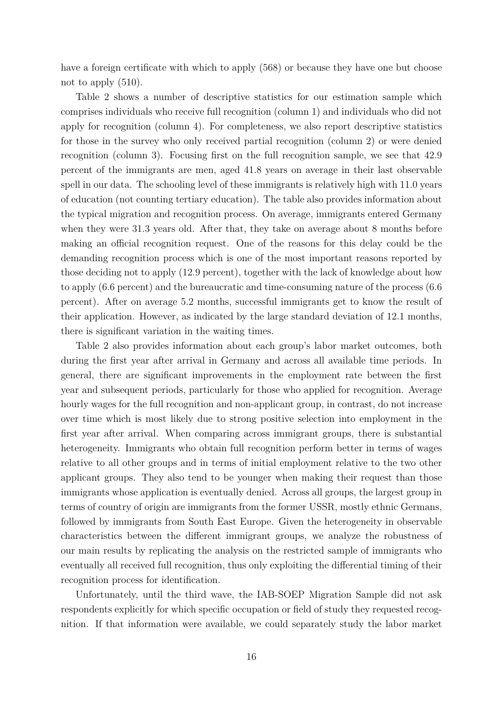have a foreign certificate with which to apply (568) or because they have one but choose not to apply (510).

Table [2](#page-18-0) shows a number of descriptive statistics for our estimation sample which comprises individuals who receive full recognition (column 1) and individuals who did not apply for recognition (column 4). For completeness, we also report descriptive statistics for those in the survey who only received partial recognition (column 2) or were denied recognition (column 3). Focusing first on the full recognition sample, we see that 42.9 percent of the immigrants are men, aged 41.8 years on average in their last observable spell in our data. The schooling level of these immigrants is relatively high with 11.0 years of education (not counting tertiary education). The table also provides information about the typical migration and recognition process. On average, immigrants entered Germany when they were 31.3 years old. After that, they take on average about 8 months before making an official recognition request. One of the reasons for this delay could be the demanding recognition process which is one of the most important reasons reported by those deciding not to apply (12.9 percent), together with the lack of knowledge about how to apply (6.6 percent) and the bureaucratic and time-consuming nature of the process (6.6 percent). After on average 5.2 months, successful immigrants get to know the result of their application. However, as indicated by the large standard deviation of 12.1 months, there is significant variation in the waiting times.

Table [2](#page-18-0) also provides information about each group's labor market outcomes, both during the first year after arrival in Germany and across all available time periods. In general, there are significant improvements in the employment rate between the first year and subsequent periods, particularly for those who applied for recognition. Average hourly wages for the full recognition and non-applicant group, in contrast, do not increase over time which is most likely due to strong positive selection into employment in the first year after arrival. When comparing across immigrant groups, there is substantial heterogeneity. Immigrants who obtain full recognition perform better in terms of wages relative to all other groups and in terms of initial employment relative to the two other applicant groups. They also tend to be younger when making their request than those immigrants whose application is eventually denied. Across all groups, the largest group in terms of country of origin are immigrants from the former USSR, mostly ethnic Germans, followed by immigrants from South East Europe. Given the heterogeneity in observable characteristics between the different immigrant groups, we analyze the robustness of our main results by replicating the analysis on the restricted sample of immigrants who eventually all received full recognition, thus only exploiting the differential timing of their recognition process for identification.

Unfortunately, until the third wave, the IAB-SOEP Migration Sample did not ask respondents explicitly for which specific occupation or field of study they requested recognition. If that information were available, we could separately study the labor market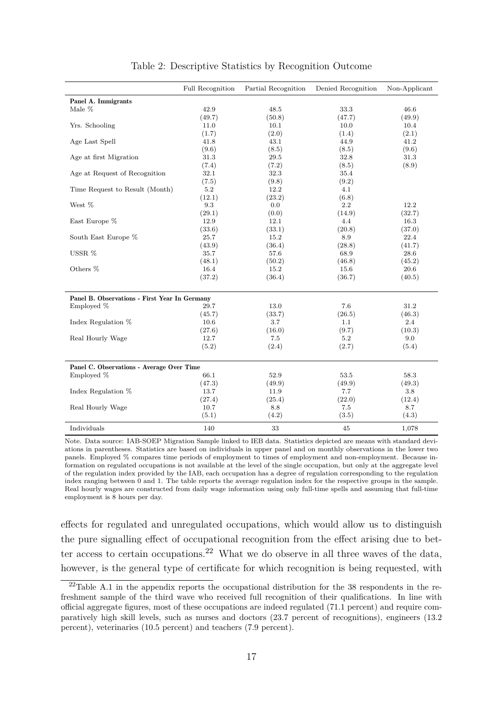<span id="page-18-0"></span>

|                                               | Full Recognition | Partial Recognition | Denied Recognition | Non-Applicant |
|-----------------------------------------------|------------------|---------------------|--------------------|---------------|
| Panel A. Immigrants                           |                  |                     |                    |               |
| Male %                                        | 42.9             | 48.5                | 33.3               | 46.6          |
|                                               | (49.7)           | (50.8)              | (47.7)             | (49.9)        |
| Yrs. Schooling                                | 11.0             | 10.1                | 10.0               | 10.4          |
|                                               | (1.7)            | (2.0)               | (1.4)              | (2.1)         |
| Age Last Spell                                | 41.8             | 43.1                | 44.9               | 41.2          |
|                                               | (9.6)            | (8.5)               | (8.5)              | (9.6)         |
| Age at first Migration                        | 31.3             | 29.5                | 32.8               | 31.3          |
|                                               | (7.4)            | (7.2)               | (8.5)              | (8.9)         |
| Age at Request of Recognition                 | 32.1             | 32.3                | 35.4               |               |
|                                               | (7.5)            | (9.8)               | (9.2)              |               |
| Time Request to Result (Month)                | 5.2              | 12.2                | 4.1                |               |
|                                               | (12.1)           | (23.2)              | (6.8)              |               |
| West %                                        | 9.3              | 0.0                 | 2.2                | 12.2          |
|                                               | (29.1)           | (0.0)               | (14.9)             | (32.7)        |
| East Europe %                                 | 12.9             | 12.1                | 4.4                | 16.3          |
|                                               | (33.6)           | (33.1)              | (20.8)             | (37.0)        |
| South East Europe %                           | 25.7             | 15.2                | 8.9                | 22.4          |
|                                               | (43.9)           | (36.4)              | (28.8)             | (41.7)        |
| USSR %                                        | 35.7             | 57.6                | 68.9               | 28.6          |
|                                               | (48.1)           | (50.2)              | (46.8)             | (45.2)        |
| Others %                                      | 16.4             | 15.2                | 15.6               | 20.6          |
|                                               | (37.2)           | (36.4)              | (36.7)             | (40.5)        |
| Panel B. Observations - First Year In Germany |                  |                     |                    |               |
| Employed %                                    | 29.7             | 13.0                | 7.6                | 31.2          |
|                                               | (45.7)           | (33.7)              | (26.5)             | (46.3)        |
| Index Regulation %                            | 10.6             | 3.7                 | 1.1                | 2.4           |
|                                               | (27.6)           | (16.0)              | (9.7)              | (10.3)        |
| Real Hourly Wage                              | 12.7             | 7.5                 | 5.2                | 9.0           |
|                                               | (5.2)            | (2.4)               | (2.7)              | (5.4)         |
| Panel C. Observations - Average Over Time     |                  |                     |                    |               |
| Employed %                                    | 66.1             | 52.9                | 53.5               | 58.3          |
|                                               | (47.3)           | (49.9)              | (49.9)             | (49.3)        |
| Index Regulation %                            | 13.7             | 11.9                | 7.7                | 3.8           |
|                                               | (27.4)           | (25.4)              | (22.0)             | (12.4)        |
| Real Hourly Wage                              | 10.7             | 8.8                 | 7.5                | 8.7           |
|                                               | (5.1)            | (4.2)               | (3.5)              | (4.3)         |
| Individuals                                   | 140              | 33                  | 45                 | 1,078         |

Table 2: Descriptive Statistics by Recognition Outcome

Note. Data source: IAB-SOEP Migration Sample linked to IEB data. Statistics depicted are means with standard deviations in parentheses. Statistics are based on individuals in upper panel and on monthly observations in the lower two panels. Employed % compares time periods of employment to times of employment and non-employment. Because information on regulated occupations is not available at the level of the single occupation, but only at the aggregate level of the regulation index provided by the IAB, each occupation has a degree of regulation corresponding to the regulation index ranging between 0 and 1. The table reports the average regulation index for the respective groups in the sample. Real hourly wages are constructed from daily wage information using only full-time spells and assuming that full-time employment is 8 hours per day.

effects for regulated and unregulated occupations, which would allow us to distinguish the pure signalling effect of occupational recognition from the effect arising due to better access to certain occupations.[22](#page-18-1) What we do observe in all three waves of the data, however, is the general type of certificate for which recognition is being requested, with

<span id="page-18-1"></span><sup>22</sup>Table [A.1](#page-36-0) in the appendix reports the occupational distribution for the 38 respondents in the refreshment sample of the third wave who received full recognition of their qualifications. In line with official aggregate figures, most of these occupations are indeed regulated (71.1 percent) and require comparatively high skill levels, such as nurses and doctors (23.7 percent of recognitions), engineers (13.2 percent), veterinaries (10.5 percent) and teachers (7.9 percent).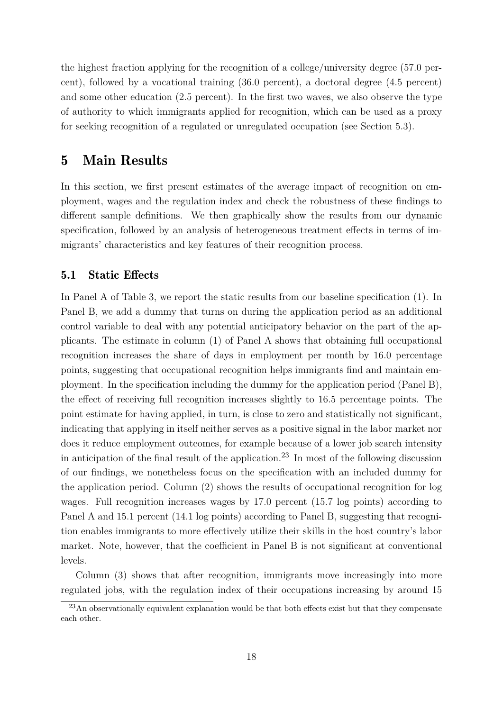the highest fraction applying for the recognition of a college/university degree (57.0 percent), followed by a vocational training (36.0 percent), a doctoral degree (4.5 percent) and some other education (2.5 percent). In the first two waves, we also observe the type of authority to which immigrants applied for recognition, which can be used as a proxy for seeking recognition of a regulated or unregulated occupation (see Section [5.3\)](#page-24-0).

#### <span id="page-19-0"></span>5 Main Results

In this section, we first present estimates of the average impact of recognition on employment, wages and the regulation index and check the robustness of these findings to different sample definitions. We then graphically show the results from our dynamic specification, followed by an analysis of heterogeneous treatment effects in terms of immigrants' characteristics and key features of their recognition process.

#### 5.1 Static Effects

In Panel A of Table [3,](#page-20-0) we report the static results from our baseline specification [\(1\)](#page-10-2). In Panel B, we add a dummy that turns on during the application period as an additional control variable to deal with any potential anticipatory behavior on the part of the applicants. The estimate in column (1) of Panel A shows that obtaining full occupational recognition increases the share of days in employment per month by 16.0 percentage points, suggesting that occupational recognition helps immigrants find and maintain employment. In the specification including the dummy for the application period (Panel B), the effect of receiving full recognition increases slightly to 16.5 percentage points. The point estimate for having applied, in turn, is close to zero and statistically not significant, indicating that applying in itself neither serves as a positive signal in the labor market nor does it reduce employment outcomes, for example because of a lower job search intensity in anticipation of the final result of the application.<sup>[23](#page-19-1)</sup> In most of the following discussion of our findings, we nonetheless focus on the specification with an included dummy for the application period. Column (2) shows the results of occupational recognition for log wages. Full recognition increases wages by 17.0 percent (15.7 log points) according to Panel A and 15.1 percent (14.1 log points) according to Panel B, suggesting that recognition enables immigrants to more effectively utilize their skills in the host country's labor market. Note, however, that the coefficient in Panel B is not significant at conventional levels.

Column (3) shows that after recognition, immigrants move increasingly into more regulated jobs, with the regulation index of their occupations increasing by around 15

<span id="page-19-1"></span> $^{23}$ An observationally equivalent explanation would be that both effects exist but that they compensate each other.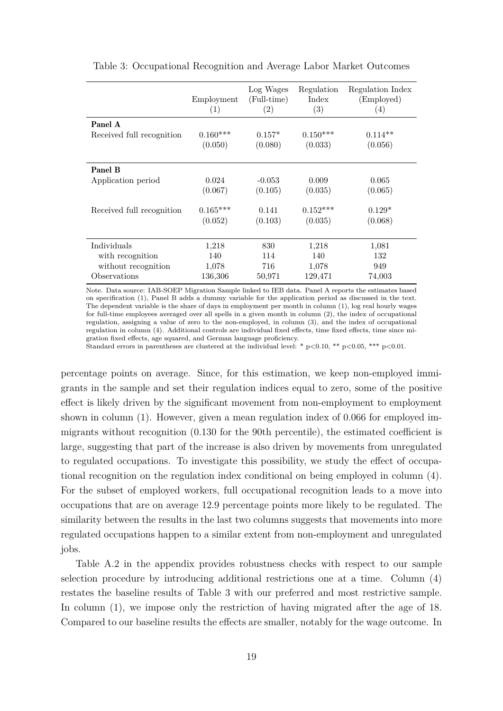|                           | Employment<br>(1) | Log Wages<br>(Full-time)<br>(2) | Regulation<br>Index<br>$\left( 3\right)$ | Regulation Index<br>(Employed)<br>$\left(4\right)$ |
|---------------------------|-------------------|---------------------------------|------------------------------------------|----------------------------------------------------|
| Panel A                   | $0.160***$        | $0.157*$                        | $0.150***$                               | $0.114**$                                          |
| Received full recognition | (0.050)           | (0.080)                         | (0.033)                                  | (0.056)                                            |
| Panel B                   | 0.024             | $-0.053$                        | 0.009                                    | 0.065                                              |
| Application period        | (0.067)           | (0.105)                         | (0.035)                                  | (0.065)                                            |
| Received full recognition | $0.165***$        | 0.141                           | $0.152***$                               | $0.129*$                                           |
|                           | (0.052)           | (0.103)                         | (0.035)                                  | (0.068)                                            |
| Individuals               | 1,218             | 830                             | 1,218                                    | 1,081                                              |
| with recognition          | 140               | 114                             | 140                                      | 132                                                |
| without recognition       | 1,078             | 716                             | 1,078                                    | 949                                                |
| Observations              | 136,306           | 50,971                          | 129,471                                  | 74,003                                             |

<span id="page-20-0"></span>Table 3: Occupational Recognition and Average Labor Market Outcomes

Note. Data source: IAB-SOEP Migration Sample linked to IEB data. Panel A reports the estimates based on specification [\(1\)](#page-10-2), Panel B adds a dummy variable for the application period as discussed in the text. The dependent variable is the share of days in employment per month in column (1), log real hourly wages for full-time employees averaged over all spells in a given month in column (2), the index of occupational regulation, assigning a value of zero to the non-employed, in column (3), and the index of occupational regulation in column (4). Additional controls are individual fixed effects, time fixed effects, time since migration fixed effects, age squared, and German language proficiency.

Standard errors in parentheses are clustered at the individual level: \*  $p<0.10$ , \*\*  $p<0.05$ , \*\*\*  $p<0.01$ .

percentage points on average. Since, for this estimation, we keep non-employed immigrants in the sample and set their regulation indices equal to zero, some of the positive effect is likely driven by the significant movement from non-employment to employment shown in column (1). However, given a mean regulation index of 0.066 for employed immigrants without recognition (0.130 for the 90th percentile), the estimated coefficient is large, suggesting that part of the increase is also driven by movements from unregulated to regulated occupations. To investigate this possibility, we study the effect of occupational recognition on the regulation index conditional on being employed in column (4). For the subset of employed workers, full occupational recognition leads to a move into occupations that are on average 12.9 percentage points more likely to be regulated. The similarity between the results in the last two columns suggests that movements into more regulated occupations happen to a similar extent from non-employment and unregulated jobs.

Table [A.2](#page-37-0) in the appendix provides robustness checks with respect to our sample selection procedure by introducing additional restrictions one at a time. Column (4) restates the baseline results of Table [3](#page-20-0) with our preferred and most restrictive sample. In column (1), we impose only the restriction of having migrated after the age of 18. Compared to our baseline results the effects are smaller, notably for the wage outcome. In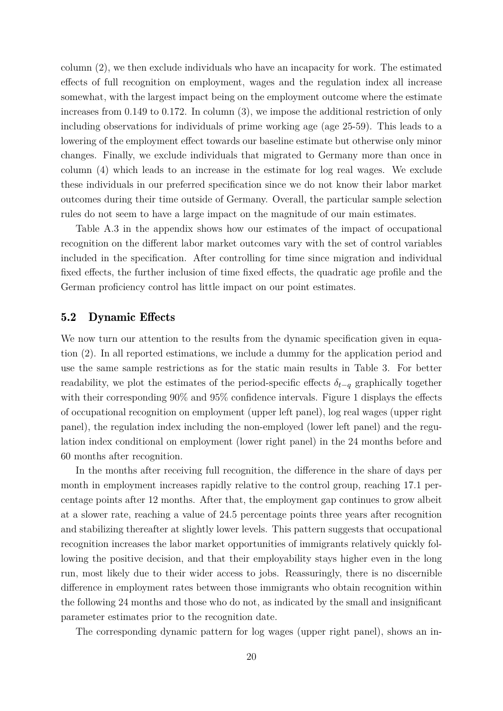column (2), we then exclude individuals who have an incapacity for work. The estimated effects of full recognition on employment, wages and the regulation index all increase somewhat, with the largest impact being on the employment outcome where the estimate increases from 0.149 to 0.172. In column (3), we impose the additional restriction of only including observations for individuals of prime working age (age 25-59). This leads to a lowering of the employment effect towards our baseline estimate but otherwise only minor changes. Finally, we exclude individuals that migrated to Germany more than once in column (4) which leads to an increase in the estimate for log real wages. We exclude these individuals in our preferred specification since we do not know their labor market outcomes during their time outside of Germany. Overall, the particular sample selection rules do not seem to have a large impact on the magnitude of our main estimates.

Table [A.3](#page-38-0) in the appendix shows how our estimates of the impact of occupational recognition on the different labor market outcomes vary with the set of control variables included in the specification. After controlling for time since migration and individual fixed effects, the further inclusion of time fixed effects, the quadratic age profile and the German proficiency control has little impact on our point estimates.

#### 5.2 Dynamic Effects

We now turn our attention to the results from the dynamic specification given in equation [\(2\)](#page-12-0). In all reported estimations, we include a dummy for the application period and use the same sample restrictions as for the static main results in Table [3.](#page-20-0) For better readability, we plot the estimates of the period-specific effects  $\delta_{t-q}$  graphically together with their corresponding 90% and 95% confidence intervals. Figure [1](#page-22-0) displays the effects of occupational recognition on employment (upper left panel), log real wages (upper right panel), the regulation index including the non-employed (lower left panel) and the regulation index conditional on employment (lower right panel) in the 24 months before and 60 months after recognition.

In the months after receiving full recognition, the difference in the share of days per month in employment increases rapidly relative to the control group, reaching 17.1 percentage points after 12 months. After that, the employment gap continues to grow albeit at a slower rate, reaching a value of 24.5 percentage points three years after recognition and stabilizing thereafter at slightly lower levels. This pattern suggests that occupational recognition increases the labor market opportunities of immigrants relatively quickly following the positive decision, and that their employability stays higher even in the long run, most likely due to their wider access to jobs. Reassuringly, there is no discernible difference in employment rates between those immigrants who obtain recognition within the following 24 months and those who do not, as indicated by the small and insignificant parameter estimates prior to the recognition date.

The corresponding dynamic pattern for log wages (upper right panel), shows an in-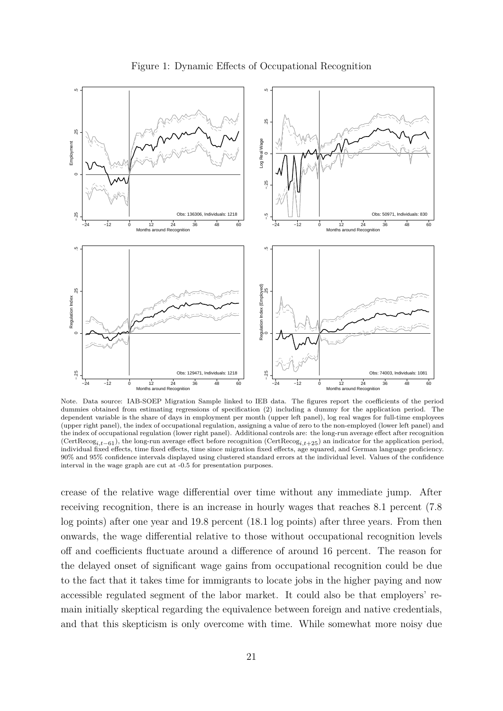<span id="page-22-0"></span>

Figure 1: Dynamic Effects of Occupational Recognition

Note. Data source: IAB-SOEP Migration Sample linked to IEB data. The figures report the coefficients of the period dummies obtained from estimating regressions of specification [\(2\)](#page-12-0) including a dummy for the application period. The dependent variable is the share of days in employment per month (upper left panel), log real wages for full-time employees (upper right panel), the index of occupational regulation, assigning a value of zero to the non-employed (lower left panel) and the index of occupational regulation (lower right panel). Additional controls are: the long-run average effect after recognition (CertRecog*i,t*−61), the long-run average effect before recognition (CertRecog*i,t*+25) an indicator for the application period, individual fixed effects, time fixed effects, time since migration fixed effects, age squared, and German language proficiency. 90% and 95% confidence intervals displayed using clustered standard errors at the individual level. Values of the confidence interval in the wage graph are cut at -0.5 for presentation purposes.

crease of the relative wage differential over time without any immediate jump. After receiving recognition, there is an increase in hourly wages that reaches 8.1 percent (7.8 log points) after one year and 19.8 percent (18.1 log points) after three years. From then onwards, the wage differential relative to those without occupational recognition levels off and coefficients fluctuate around a difference of around 16 percent. The reason for the delayed onset of significant wage gains from occupational recognition could be due to the fact that it takes time for immigrants to locate jobs in the higher paying and now accessible regulated segment of the labor market. It could also be that employers' remain initially skeptical regarding the equivalence between foreign and native credentials, and that this skepticism is only overcome with time. While somewhat more noisy due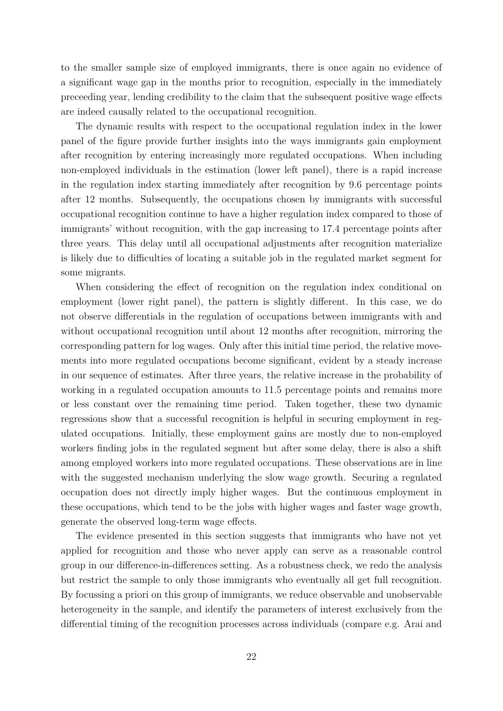to the smaller sample size of employed immigrants, there is once again no evidence of a significant wage gap in the months prior to recognition, especially in the immediately preceeding year, lending credibility to the claim that the subsequent positive wage effects are indeed causally related to the occupational recognition.

The dynamic results with respect to the occupational regulation index in the lower panel of the figure provide further insights into the ways immigrants gain employment after recognition by entering increasingly more regulated occupations. When including non-employed individuals in the estimation (lower left panel), there is a rapid increase in the regulation index starting immediately after recognition by 9.6 percentage points after 12 months. Subsequently, the occupations chosen by immigrants with successful occupational recognition continue to have a higher regulation index compared to those of immigrants' without recognition, with the gap increasing to 17.4 percentage points after three years. This delay until all occupational adjustments after recognition materialize is likely due to difficulties of locating a suitable job in the regulated market segment for some migrants.

When considering the effect of recognition on the regulation index conditional on employment (lower right panel), the pattern is slightly different. In this case, we do not observe differentials in the regulation of occupations between immigrants with and without occupational recognition until about 12 months after recognition, mirroring the corresponding pattern for log wages. Only after this initial time period, the relative movements into more regulated occupations become significant, evident by a steady increase in our sequence of estimates. After three years, the relative increase in the probability of working in a regulated occupation amounts to 11.5 percentage points and remains more or less constant over the remaining time period. Taken together, these two dynamic regressions show that a successful recognition is helpful in securing employment in regulated occupations. Initially, these employment gains are mostly due to non-employed workers finding jobs in the regulated segment but after some delay, there is also a shift among employed workers into more regulated occupations. These observations are in line with the suggested mechanism underlying the slow wage growth. Securing a regulated occupation does not directly imply higher wages. But the continuous employment in these occupations, which tend to be the jobs with higher wages and faster wage growth, generate the observed long-term wage effects.

The evidence presented in this section suggests that immigrants who have not yet applied for recognition and those who never apply can serve as a reasonable control group in our difference-in-differences setting. As a robustness check, we redo the analysis but restrict the sample to only those immigrants who eventually all get full recognition. By focussing a priori on this group of immigrants, we reduce observable and unobservable heterogeneity in the sample, and identify the parameters of interest exclusively from the differential timing of the recognition processes across individuals (compare e.g. [Arai and](#page-32-10)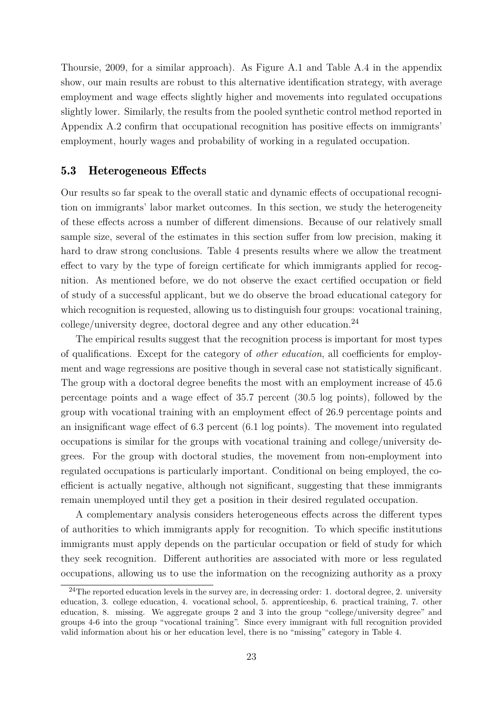[Thoursie, 2009,](#page-32-10) for a similar approach). As Figure [A.1](#page-41-0) and Table [A.4](#page-39-0) in the appendix show, our main results are robust to this alternative identification strategy, with average employment and wage effects slightly higher and movements into regulated occupations slightly lower. Similarly, the results from the pooled synthetic control method reported in Appendix [A.2](#page-42-0) confirm that occupational recognition has positive effects on immigrants' employment, hourly wages and probability of working in a regulated occupation.

#### <span id="page-24-0"></span>5.3 Heterogeneous Effects

Our results so far speak to the overall static and dynamic effects of occupational recognition on immigrants' labor market outcomes. In this section, we study the heterogeneity of these effects across a number of different dimensions. Because of our relatively small sample size, several of the estimates in this section suffer from low precision, making it hard to draw strong conclusions. Table [4](#page-25-0) presents results where we allow the treatment effect to vary by the type of foreign certificate for which immigrants applied for recognition. As mentioned before, we do not observe the exact certified occupation or field of study of a successful applicant, but we do observe the broad educational category for which recognition is requested, allowing us to distinguish four groups: vocational training, college/university degree, doctoral degree and any other education.[24](#page-24-1)

The empirical results suggest that the recognition process is important for most types of qualifications. Except for the category of *other education*, all coefficients for employment and wage regressions are positive though in several case not statistically significant. The group with a doctoral degree benefits the most with an employment increase of 45.6 percentage points and a wage effect of 35.7 percent (30.5 log points), followed by the group with vocational training with an employment effect of 26.9 percentage points and an insignificant wage effect of 6.3 percent (6.1 log points). The movement into regulated occupations is similar for the groups with vocational training and college/university degrees. For the group with doctoral studies, the movement from non-employment into regulated occupations is particularly important. Conditional on being employed, the coefficient is actually negative, although not significant, suggesting that these immigrants remain unemployed until they get a position in their desired regulated occupation.

A complementary analysis considers heterogeneous effects across the different types of authorities to which immigrants apply for recognition. To which specific institutions immigrants must apply depends on the particular occupation or field of study for which they seek recognition. Different authorities are associated with more or less regulated occupations, allowing us to use the information on the recognizing authority as a proxy

<span id="page-24-1"></span> $24$ The reported education levels in the survey are, in decreasing order: 1. doctoral degree, 2. university education, 3. college education, 4. vocational school, 5. apprenticeship, 6. practical training, 7. other education, 8. missing. We aggregate groups 2 and 3 into the group "college/university degree" and groups 4-6 into the group "vocational training". Since every immigrant with full recognition provided valid information about his or her education level, there is no "missing" category in Table [4.](#page-25-0)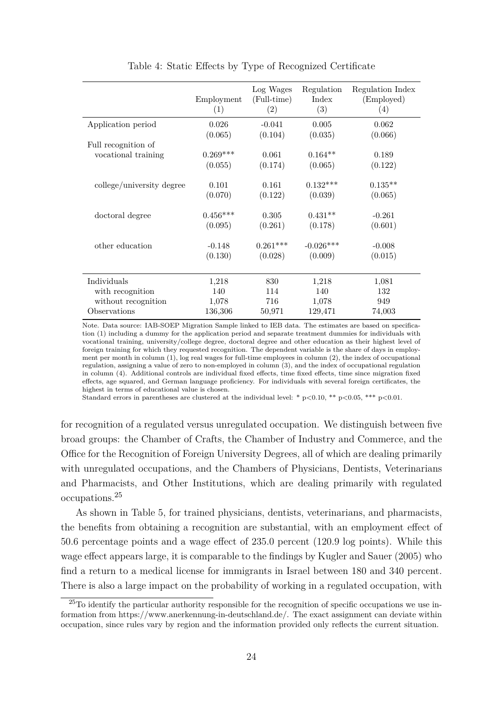<span id="page-25-0"></span>

|                           | Employment<br>(1) | Log Wages<br>(Full-time)<br>(2) | Regulation<br>Index<br>(3) | Regulation Index<br>(Employed)<br>(4) |
|---------------------------|-------------------|---------------------------------|----------------------------|---------------------------------------|
| Application period        | 0.026             | $-0.041$                        | 0.005                      | 0.062                                 |
|                           | (0.065)           | (0.104)                         | (0.035)                    | (0.066)                               |
| Full recognition of       |                   |                                 |                            |                                       |
| vocational training       | $0.269***$        | 0.061                           | $0.164**$                  | 0.189                                 |
|                           | (0.055)           | (0.174)                         | (0.065)                    | (0.122)                               |
|                           |                   |                                 |                            |                                       |
| college/university degree | 0.101             | 0.161                           | $0.132***$                 | $0.135**$                             |
|                           | (0.070)           | (0.122)                         | (0.039)                    | (0.065)                               |
| doctoral degree           | $0.456***$        | 0.305                           | $0.431**$                  | $-0.261$                              |
|                           | (0.095)           | (0.261)                         | (0.178)                    | (0.601)                               |
| other education           | $-0.148$          | $0.261***$                      | $-0.026***$                | $-0.008$                              |
|                           | (0.130)           | (0.028)                         | (0.009)                    | (0.015)                               |
|                           |                   |                                 |                            |                                       |
| Individuals               | 1,218             | 830                             | 1,218                      | 1,081                                 |
| with recognition          | 140               | 114                             | 140                        | 132                                   |
| without recognition       | 1,078             | 716                             | 1,078                      | 949                                   |
| Observations              | 136,306           | 50,971                          | 129,471                    | 74,003                                |

Table 4: Static Effects by Type of Recognized Certificate

Note. Data source: IAB-SOEP Migration Sample linked to IEB data. The estimates are based on specification [\(1\)](#page-10-2) including a dummy for the application period and separate treatment dummies for individuals with vocational training, university/college degree, doctoral degree and other education as their highest level of foreign training for which they requested recognition. The dependent variable is the share of days in employment per month in column (1), log real wages for full-time employees in column (2), the index of occupational regulation, assigning a value of zero to non-employed in column (3), and the index of occupational regulation in column (4). Additional controls are individual fixed effects, time fixed effects, time since migration fixed effects, age squared, and German language proficiency. For individuals with several foreign certificates, the highest in terms of educational value is chosen.

Standard errors in parentheses are clustered at the individual level: \*  $p < 0.10$ , \*\*  $p < 0.05$ , \*\*\*  $p < 0.01$ .

for recognition of a regulated versus unregulated occupation. We distinguish between five broad groups: the Chamber of Crafts, the Chamber of Industry and Commerce, and the Office for the Recognition of Foreign University Degrees, all of which are dealing primarily with unregulated occupations, and the Chambers of Physicians, Dentists, Veterinarians and Pharmacists, and Other Institutions, which are dealing primarily with regulated occupations.[25](#page-25-1)

As shown in Table [5,](#page-26-0) for trained physicians, dentists, veterinarians, and pharmacists, the benefits from obtaining a recognition are substantial, with an employment effect of 50.6 percentage points and a wage effect of 235.0 percent (120.9 log points). While this wage effect appears large, it is comparable to the findings by [Kugler and Sauer](#page-34-11) [\(2005\)](#page-34-11) who find a return to a medical license for immigrants in Israel between 180 and 340 percent. There is also a large impact on the probability of working in a regulated occupation, with

<span id="page-25-1"></span><sup>25</sup>To identify the particular authority responsible for the recognition of specific occupations we use information from https://www.anerkennung-in-deutschland.de/. The exact assignment can deviate within occupation, since rules vary by region and the information provided only reflects the current situation.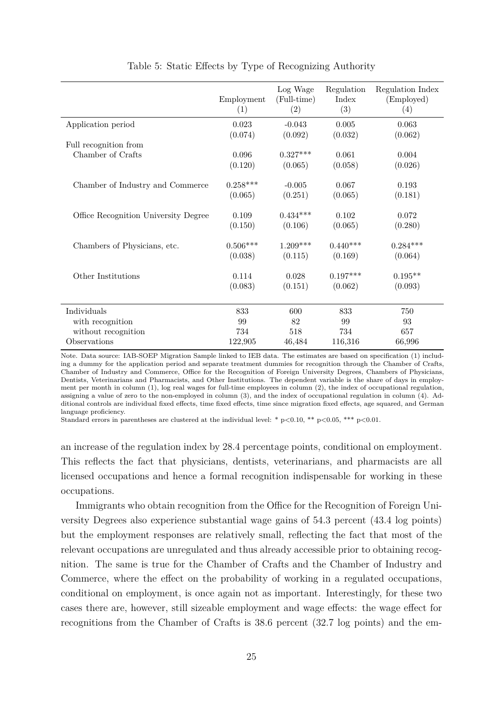<span id="page-26-0"></span>

|                                      | Employment<br>(1) | Log Wage<br>(Full-time)<br>(2) | Regulation<br>Index<br>(3) | Regulation Index<br>(Employed)<br>(4) |
|--------------------------------------|-------------------|--------------------------------|----------------------------|---------------------------------------|
| Application period                   | 0.023             | $-0.043$                       | 0.005                      | 0.063                                 |
|                                      | (0.074)           | (0.092)                        | (0.032)                    | (0.062)                               |
| Full recognition from                |                   |                                |                            |                                       |
| Chamber of Crafts                    | 0.096             | $0.327***$                     | 0.061                      | 0.004                                 |
|                                      | (0.120)           | (0.065)                        | (0.058)                    | (0.026)                               |
| Chamber of Industry and Commerce     | $0.258***$        | $-0.005$                       | 0.067                      | 0.193                                 |
|                                      | (0.065)           | (0.251)                        | (0.065)                    | (0.181)                               |
| Office Recognition University Degree | 0.109             | $0.434***$                     | 0.102                      | 0.072                                 |
|                                      | (0.150)           | (0.106)                        | (0.065)                    | (0.280)                               |
| Chambers of Physicians, etc.         | $0.506***$        | $1.209***$                     | $0.440***$                 | $0.284***$                            |
|                                      | (0.038)           | (0.115)                        | (0.169)                    | (0.064)                               |
| Other Institutions                   | 0.114             | 0.028                          | $0.197***$                 | $0.195**$                             |
|                                      | (0.083)           | (0.151)                        | (0.062)                    | (0.093)                               |
|                                      |                   |                                |                            |                                       |
| Individuals                          | 833               | 600                            | 833                        | 750                                   |
| with recognition                     | 99                | 82                             | 99                         | 93                                    |
| without recognition                  | 734               | 518                            | 734                        | 657                                   |
| Observations                         | 122,905           | 46,484                         | 116,316                    | 66,996                                |

Table 5: Static Effects by Type of Recognizing Authority

Note. Data source: IAB-SOEP Migration Sample linked to IEB data. The estimates are based on specification [\(1\)](#page-10-2) including a dummy for the application period and separate treatment dummies for recognition through the Chamber of Crafts, Chamber of Industry and Commerce, Office for the Recognition of Foreign University Degrees, Chambers of Physicians, Dentists, Veterinarians and Pharmacists, and Other Institutions. The dependent variable is the share of days in employment per month in column (1), log real wages for full-time employees in column (2), the index of occupational regulation, assigning a value of zero to the non-employed in column (3), and the index of occupational regulation in column (4). Additional controls are individual fixed effects, time fixed effects, time since migration fixed effects, age squared, and German language proficiency.

Standard errors in parentheses are clustered at the individual level: \*  $p<0.10$ , \*\*  $p<0.05$ , \*\*\*  $p<0.01$ .

an increase of the regulation index by 28.4 percentage points, conditional on employment. This reflects the fact that physicians, dentists, veterinarians, and pharmacists are all licensed occupations and hence a formal recognition indispensable for working in these occupations.

Immigrants who obtain recognition from the Office for the Recognition of Foreign University Degrees also experience substantial wage gains of 54.3 percent (43.4 log points) but the employment responses are relatively small, reflecting the fact that most of the relevant occupations are unregulated and thus already accessible prior to obtaining recognition. The same is true for the Chamber of Crafts and the Chamber of Industry and Commerce, where the effect on the probability of working in a regulated occupations, conditional on employment, is once again not as important. Interestingly, for these two cases there are, however, still sizeable employment and wage effects: the wage effect for recognitions from the Chamber of Crafts is 38.6 percent (32.7 log points) and the em-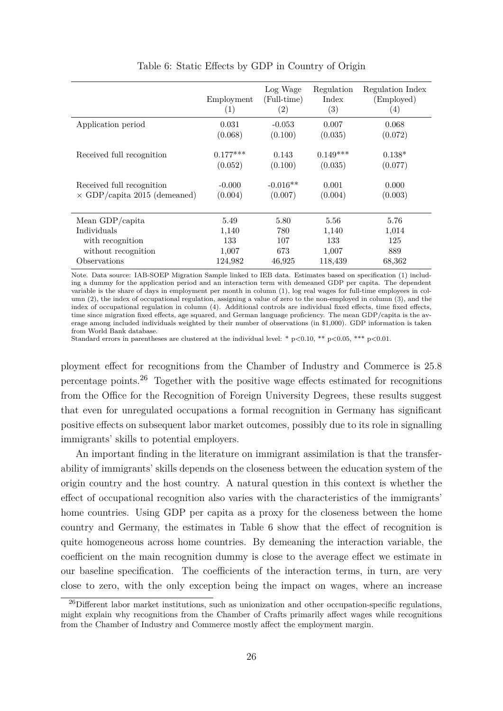<span id="page-27-1"></span>

|                                     | Employment<br>(1) | Log Wage<br>(Full-time)<br>(2) | Regulation<br>Index<br>(3) | Regulation Index<br>(Employed)<br>(4) |
|-------------------------------------|-------------------|--------------------------------|----------------------------|---------------------------------------|
| Application period                  | 0.031             | $-0.053$                       | 0.007                      | 0.068                                 |
|                                     | (0.068)           | (0.100)                        | (0.035)                    | (0.072)                               |
| Received full recognition           | $0.177***$        | 0.143                          | $0.149***$                 | $0.138*$                              |
|                                     | (0.052)           | (0.100)                        | (0.035)                    | (0.077)                               |
| Received full recognition           | $-0.000$          | $-0.016**$                     | 0.001                      | 0.000                                 |
| $\times$ GDP/capita 2015 (demeaned) | (0.004)           | (0.007)                        | (0.004)                    | (0.003)                               |
| Mean GDP/capita                     | 5.49              | 5.80                           | 5.56                       | 5.76                                  |
| Individuals                         | 1,140             | 780                            | 1,140                      | 1,014                                 |
| with recognition                    | 133               | 107                            | 133                        | 125                                   |
| without recognition                 | 1,007             | 673                            | 1,007                      | 889                                   |
| Observations                        | 124,982           | 46,925                         | 118,439                    | 68,362                                |

Table 6: Static Effects by GDP in Country of Origin

Note. Data source: IAB-SOEP Migration Sample linked to IEB data. Estimates based on specification [\(1\)](#page-10-2) including a dummy for the application period and an interaction term with demeaned GDP per capita. The dependent variable is the share of days in employment per month in column (1), log real wages for full-time employees in column (2), the index of occupational regulation, assigning a value of zero to the non-employed in column (3), and the index of occupational regulation in column (4). Additional controls are individual fixed effects, time fixed effects, time since migration fixed effects, age squared, and German language proficiency. The mean GDP/capita is the average among included individuals weighted by their number of observations (in \$1,000). GDP information is taken from World Bank database.

Standard errors in parentheses are clustered at the individual level: \*  $p<0.10$ , \*\*  $p<0.05$ , \*\*\*  $p<0.01$ .

ployment effect for recognitions from the Chamber of Industry and Commerce is 25.8 percentage points.<sup>[26](#page-27-0)</sup> Together with the positive wage effects estimated for recognitions from the Office for the Recognition of Foreign University Degrees, these results suggest that even for unregulated occupations a formal recognition in Germany has significant positive effects on subsequent labor market outcomes, possibly due to its role in signalling immigrants' skills to potential employers.

An important finding in the literature on immigrant assimilation is that the transferability of immigrants' skills depends on the closeness between the education system of the origin country and the host country. A natural question in this context is whether the effect of occupational recognition also varies with the characteristics of the immigrants' home countries. Using GDP per capita as a proxy for the closeness between the home country and Germany, the estimates in Table [6](#page-27-1) show that the effect of recognition is quite homogeneous across home countries. By demeaning the interaction variable, the coefficient on the main recognition dummy is close to the average effect we estimate in our baseline specification. The coefficients of the interaction terms, in turn, are very close to zero, with the only exception being the impact on wages, where an increase

<span id="page-27-0"></span> $^{26}$ Different labor market institutions, such as unionization and other occupation-specific regulations, might explain why recognitions from the Chamber of Crafts primarily affect wages while recognitions from the Chamber of Industry and Commerce mostly affect the employment margin.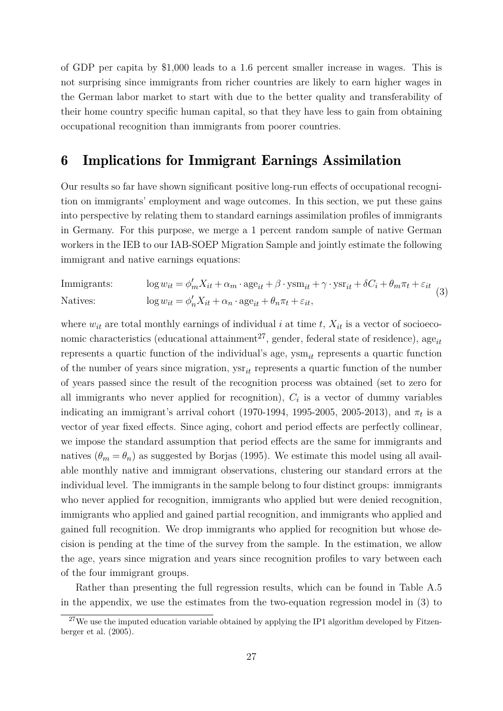of GDP per capita by \$1,000 leads to a 1.6 percent smaller increase in wages. This is not surprising since immigrants from richer countries are likely to earn higher wages in the German labor market to start with due to the better quality and transferability of their home country specific human capital, so that they have less to gain from obtaining occupational recognition than immigrants from poorer countries.

### <span id="page-28-0"></span>6 Implications for Immigrant Earnings Assimilation

Our results so far have shown significant positive long-run effects of occupational recognition on immigrants' employment and wage outcomes. In this section, we put these gains into perspective by relating them to standard earnings assimilation profiles of immigrants in Germany. For this purpose, we merge a 1 percent random sample of native German workers in the IEB to our IAB-SOEP Migration Sample and jointly estimate the following immigrant and native earnings equations:

<span id="page-28-2"></span>Immigrants: 
$$
\log w_{it} = \phi'_{m} X_{it} + \alpha_{m} \cdot \text{age}_{it} + \beta \cdot \text{ysm}_{it} + \gamma \cdot \text{ysr}_{it} + \delta C_{i} + \theta_{m} \pi_{t} + \varepsilon_{it}
$$
  
Natives: 
$$
\log w_{it} = \phi'_{n} X_{it} + \alpha_{n} \cdot \text{age}_{it} + \theta_{n} \pi_{t} + \varepsilon_{it},
$$
 (3)

where  $w_{it}$  are total monthly earnings of individual *i* at time *t*,  $X_{it}$  is a vector of socioeco-nomic characteristics (educational attainment<sup>[27](#page-28-1)</sup>, gender, federal state of residence),  $age_{it}$ represents a quartic function of the individual's age, ysm*it* represents a quartic function of the number of years since migration, ysr*it* represents a quartic function of the number of years passed since the result of the recognition process was obtained (set to zero for all immigrants who never applied for recognition),  $C_i$  is a vector of dummy variables indicating an immigrant's arrival cohort (1970-1994, 1995-2005, 2005-2013), and  $\pi_t$  is a vector of year fixed effects. Since aging, cohort and period effects are perfectly collinear, we impose the standard assumption that period effects are the same for immigrants and natives  $(\theta_m = \theta_n)$  as suggested by [Borjas](#page-32-3) [\(1995\)](#page-32-3). We estimate this model using all available monthly native and immigrant observations, clustering our standard errors at the individual level. The immigrants in the sample belong to four distinct groups: immigrants who never applied for recognition, immigrants who applied but were denied recognition, immigrants who applied and gained partial recognition, and immigrants who applied and gained full recognition. We drop immigrants who applied for recognition but whose decision is pending at the time of the survey from the sample. In the estimation, we allow the age, years since migration and years since recognition profiles to vary between each of the four immigrant groups.

Rather than presenting the full regression results, which can be found in Table [A.5](#page-40-0) in the appendix, we use the estimates from the two-equation regression model in [\(3\)](#page-28-2) to

<span id="page-28-1"></span> $27$ We use the imputed education variable obtained by applying the IP1 algorithm developed by [Fitzen](#page-33-11)[berger et al.](#page-33-11) [\(2005\)](#page-33-11).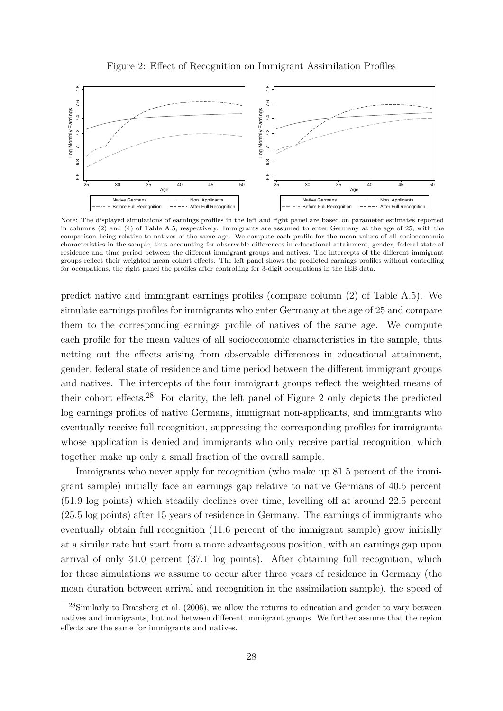

<span id="page-29-1"></span>

Note: The displayed simulations of earnings profiles in the left and right panel are based on parameter estimates reported in columns (2) and (4) of Table [A.5,](#page-40-0) respectively. Immigrants are assumed to enter Germany at the age of 25, with the comparison being relative to natives of the same age. We compute each profile for the mean values of all socioeconomic characteristics in the sample, thus accounting for observable differences in educational attainment, gender, federal state of residence and time period between the different immigrant groups and natives. The intercepts of the different immigrant groups reflect their weighted mean cohort effects. The left panel shows the predicted earnings profiles without controlling for occupations, the right panel the profiles after controlling for 3-digit occupations in the IEB data.

predict native and immigrant earnings profiles (compare column (2) of Table [A.5\)](#page-40-0). We simulate earnings profiles for immigrants who enter Germany at the age of 25 and compare them to the corresponding earnings profile of natives of the same age. We compute each profile for the mean values of all socioeconomic characteristics in the sample, thus netting out the effects arising from observable differences in educational attainment, gender, federal state of residence and time period between the different immigrant groups and natives. The intercepts of the four immigrant groups reflect the weighted means of their cohort effects.<sup>[28](#page-29-0)</sup> For clarity, the left panel of Figure [2](#page-29-1) only depicts the predicted log earnings profiles of native Germans, immigrant non-applicants, and immigrants who eventually receive full recognition, suppressing the corresponding profiles for immigrants whose application is denied and immigrants who only receive partial recognition, which together make up only a small fraction of the overall sample.

Immigrants who never apply for recognition (who make up 81.5 percent of the immigrant sample) initially face an earnings gap relative to native Germans of 40.5 percent (51.9 log points) which steadily declines over time, levelling off at around 22.5 percent (25.5 log points) after 15 years of residence in Germany. The earnings of immigrants who eventually obtain full recognition (11.6 percent of the immigrant sample) grow initially at a similar rate but start from a more advantageous position, with an earnings gap upon arrival of only 31.0 percent (37.1 log points). After obtaining full recognition, which for these simulations we assume to occur after three years of residence in Germany (the mean duration between arrival and recognition in the assimilation sample), the speed of

<span id="page-29-0"></span><sup>28</sup>Similarly to [Bratsberg et al.](#page-32-11) [\(2006\)](#page-32-11), we allow the returns to education and gender to vary between natives and immigrants, but not between different immigrant groups. We further assume that the region effects are the same for immigrants and natives.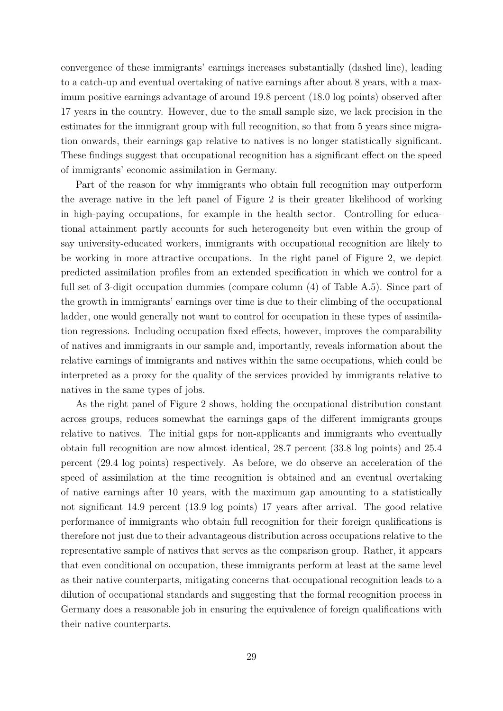convergence of these immigrants' earnings increases substantially (dashed line), leading to a catch-up and eventual overtaking of native earnings after about 8 years, with a maximum positive earnings advantage of around 19.8 percent (18.0 log points) observed after 17 years in the country. However, due to the small sample size, we lack precision in the estimates for the immigrant group with full recognition, so that from 5 years since migration onwards, their earnings gap relative to natives is no longer statistically significant. These findings suggest that occupational recognition has a significant effect on the speed of immigrants' economic assimilation in Germany.

Part of the reason for why immigrants who obtain full recognition may outperform the average native in the left panel of Figure [2](#page-29-1) is their greater likelihood of working in high-paying occupations, for example in the health sector. Controlling for educational attainment partly accounts for such heterogeneity but even within the group of say university-educated workers, immigrants with occupational recognition are likely to be working in more attractive occupations. In the right panel of Figure [2,](#page-29-1) we depict predicted assimilation profiles from an extended specification in which we control for a full set of 3-digit occupation dummies (compare column (4) of Table [A.5\)](#page-40-0). Since part of the growth in immigrants' earnings over time is due to their climbing of the occupational ladder, one would generally not want to control for occupation in these types of assimilation regressions. Including occupation fixed effects, however, improves the comparability of natives and immigrants in our sample and, importantly, reveals information about the relative earnings of immigrants and natives within the same occupations, which could be interpreted as a proxy for the quality of the services provided by immigrants relative to natives in the same types of jobs.

As the right panel of Figure [2](#page-29-1) shows, holding the occupational distribution constant across groups, reduces somewhat the earnings gaps of the different immigrants groups relative to natives. The initial gaps for non-applicants and immigrants who eventually obtain full recognition are now almost identical, 28.7 percent (33.8 log points) and 25.4 percent (29.4 log points) respectively. As before, we do observe an acceleration of the speed of assimilation at the time recognition is obtained and an eventual overtaking of native earnings after 10 years, with the maximum gap amounting to a statistically not significant 14.9 percent (13.9 log points) 17 years after arrival. The good relative performance of immigrants who obtain full recognition for their foreign qualifications is therefore not just due to their advantageous distribution across occupations relative to the representative sample of natives that serves as the comparison group. Rather, it appears that even conditional on occupation, these immigrants perform at least at the same level as their native counterparts, mitigating concerns that occupational recognition leads to a dilution of occupational standards and suggesting that the formal recognition process in Germany does a reasonable job in ensuring the equivalence of foreign qualifications with their native counterparts.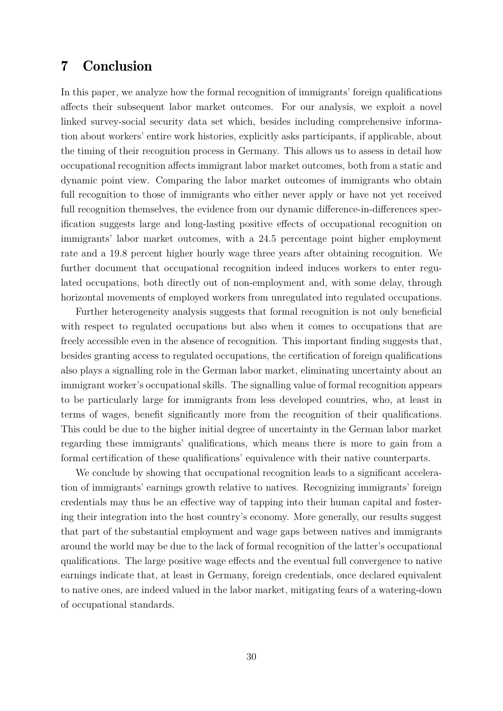### <span id="page-31-0"></span>7 Conclusion

In this paper, we analyze how the formal recognition of immigrants' foreign qualifications affects their subsequent labor market outcomes. For our analysis, we exploit a novel linked survey-social security data set which, besides including comprehensive information about workers' entire work histories, explicitly asks participants, if applicable, about the timing of their recognition process in Germany. This allows us to assess in detail how occupational recognition affects immigrant labor market outcomes, both from a static and dynamic point view. Comparing the labor market outcomes of immigrants who obtain full recognition to those of immigrants who either never apply or have not yet received full recognition themselves, the evidence from our dynamic difference-in-differences specification suggests large and long-lasting positive effects of occupational recognition on immigrants' labor market outcomes, with a 24.5 percentage point higher employment rate and a 19.8 percent higher hourly wage three years after obtaining recognition. We further document that occupational recognition indeed induces workers to enter regulated occupations, both directly out of non-employment and, with some delay, through horizontal movements of employed workers from unregulated into regulated occupations.

Further heterogeneity analysis suggests that formal recognition is not only beneficial with respect to regulated occupations but also when it comes to occupations that are freely accessible even in the absence of recognition. This important finding suggests that, besides granting access to regulated occupations, the certification of foreign qualifications also plays a signalling role in the German labor market, eliminating uncertainty about an immigrant worker's occupational skills. The signalling value of formal recognition appears to be particularly large for immigrants from less developed countries, who, at least in terms of wages, benefit significantly more from the recognition of their qualifications. This could be due to the higher initial degree of uncertainty in the German labor market regarding these immigrants' qualifications, which means there is more to gain from a formal certification of these qualifications' equivalence with their native counterparts.

We conclude by showing that occupational recognition leads to a significant acceleration of immigrants' earnings growth relative to natives. Recognizing immigrants' foreign credentials may thus be an effective way of tapping into their human capital and fostering their integration into the host country's economy. More generally, our results suggest that part of the substantial employment and wage gaps between natives and immigrants around the world may be due to the lack of formal recognition of the latter's occupational qualifications. The large positive wage effects and the eventual full convergence to native earnings indicate that, at least in Germany, foreign credentials, once declared equivalent to native ones, are indeed valued in the labor market, mitigating fears of a watering-down of occupational standards.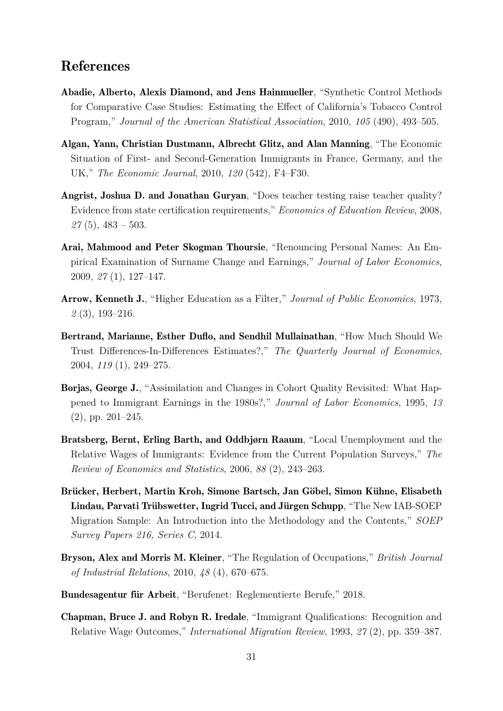#### References

- <span id="page-32-8"></span>Abadie, Alberto, Alexis Diamond, and Jens Hainmueller, "Synthetic Control Methods for Comparative Case Studies: Estimating the Effect of California's Tobacco Control Program," *Journal of the American Statistical Association*, 2010, *105* (490), 493–505.
- <span id="page-32-6"></span>Algan, Yann, Christian Dustmann, Albrecht Glitz, and Alan Manning, "The Economic Situation of First- and Second-Generation Immigrants in France, Germany, and the UK," *The Economic Journal*, 2010, *120* (542), F4–F30.
- <span id="page-32-2"></span>Angrist, Joshua D. and Jonathan Guryan, "Does teacher testing raise teacher quality? Evidence from state certification requirements," *Economics of Education Review*, 2008, *27* (5), 483 – 503.
- <span id="page-32-10"></span>Arai, Mahmood and Peter Skogman Thoursie, "Renouncing Personal Names: An Empirical Examination of Surname Change and Earnings," *Journal of Labor Economics*, 2009, *27* (1), 127–147.
- <span id="page-32-1"></span>Arrow, Kenneth J., "Higher Education as a Filter," *Journal of Public Economics*, 1973, *2* (3), 193–216.
- <span id="page-32-7"></span>Bertrand, Marianne, Esther Duflo, and Sendhil Mullainathan, "How Much Should We Trust Differences-In-Differences Estimates?," *The Quarterly Journal of Economics*, 2004, *119* (1), 249–275.
- <span id="page-32-3"></span>Borjas, George J., "Assimilation and Changes in Cohort Quality Revisited: What Happened to Immigrant Earnings in the 1980s?," *Journal of Labor Economics*, 1995, *13* (2), pp. 201–245.
- <span id="page-32-11"></span>Bratsberg, Bernt, Erling Barth, and Oddbjørn Raaum, "Local Unemployment and the Relative Wages of Immigrants: Evidence from the Current Population Surveys," *The Review of Economics and Statistics*, 2006, *88* (2), 243–263.
- <span id="page-32-9"></span>Brücker, Herbert, Martin Kroh, Simone Bartsch, Jan Göbel, Simon Kühne, Elisabeth Lindau, Parvati Trübswetter, Ingrid Tucci, and Jürgen Schupp, "The New IAB-SOEP Migration Sample: An Introduction into the Methodology and the Contents," *SOEP Survey Papers 216, Series C*, 2014.
- <span id="page-32-0"></span>Bryson, Alex and Morris M. Kleiner, "The Regulation of Occupations," *British Journal of Industrial Relations*, 2010, *48* (4), 670–675.
- <span id="page-32-5"></span>Bundesagentur für Arbeit, "Berufenet: Reglementierte Berufe," 2018.
- <span id="page-32-4"></span>Chapman, Bruce J. and Robyn R. Iredale, "Immigrant Qualifications: Recognition and Relative Wage Outcomes," *International Migration Review*, 1993, *27* (2), pp. 359–387.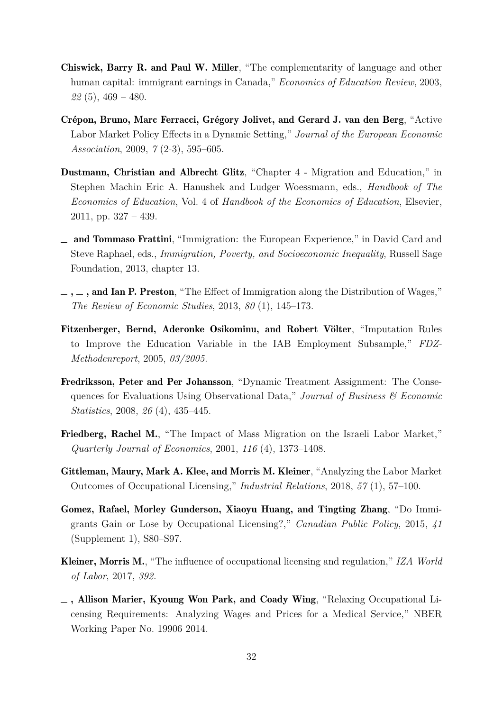- <span id="page-33-1"></span>Chiswick, Barry R. and Paul W. Miller, "The complementarity of language and other human capital: immigrant earnings in Canada," *Economics of Education Review*, 2003, *22* (5), 469 – 480.
- <span id="page-33-10"></span>Crépon, Bruno, Marc Ferracci, Grégory Jolivet, and Gerard J. van den Berg, "Active Labor Market Policy Effects in a Dynamic Setting," *Journal of the European Economic Association*, 2009, *7* (2-3), 595–605.
- <span id="page-33-5"></span>Dustmann, Christian and Albrecht Glitz, "Chapter 4 - Migration and Education," in Stephen Machin Eric A. Hanushek and Ludger Woessmann, eds., *Handbook of The Economics of Education*, Vol. 4 of *Handbook of the Economics of Education*, Elsevier, 2011, pp. 327 – 439.
- <span id="page-33-0"></span>and Tommaso Frattini, "Immigration: the European Experience," in David Card and Steve Raphael, eds., *Immigration, Poverty, and Socioeconomic Inequality*, Russell Sage Foundation, 2013, chapter 13.
- <span id="page-33-4"></span> $\ldots$ , and Ian P. Preston, "The Effect of Immigration along the Distribution of Wages," *The Review of Economic Studies*, 2013, *80* (1), 145–173.
- <span id="page-33-11"></span>Fitzenberger, Bernd, Aderonke Osikominu, and Robert Völter, "Imputation Rules to Improve the Education Variable in the IAB Employment Subsample," *FDZ-Methodenreport*, 2005, *03/2005.*
- <span id="page-33-9"></span>Fredriksson, Peter and Per Johansson, "Dynamic Treatment Assignment: The Consequences for Evaluations Using Observational Data," *Journal of Business & Economic Statistics*, 2008, *26* (4), 435–445.
- <span id="page-33-3"></span>Friedberg, Rachel M., "The Impact of Mass Migration on the Israeli Labor Market," *Quarterly Journal of Economics*, 2001, *116* (4), 1373–1408.
- <span id="page-33-6"></span>Gittleman, Maury, Mark A. Klee, and Morris M. Kleiner, "Analyzing the Labor Market Outcomes of Occupational Licensing," *Industrial Relations*, 2018, *57* (1), 57–100.
- <span id="page-33-8"></span>Gomez, Rafael, Morley Gunderson, Xiaoyu Huang, and Tingting Zhang, "Do Immigrants Gain or Lose by Occupational Licensing?," *Canadian Public Policy*, 2015, *41* (Supplement 1), S80–S97.
- <span id="page-33-2"></span>Kleiner, Morris M., "The influence of occupational licensing and regulation," *IZA World of Labor*, 2017, *392.*
- <span id="page-33-7"></span> $\Box$ , Allison Marier, Kyoung Won Park, and Coady Wing, "Relaxing Occupational Licensing Requirements: Analyzing Wages and Prices for a Medical Service," NBER Working Paper No. 19906 2014.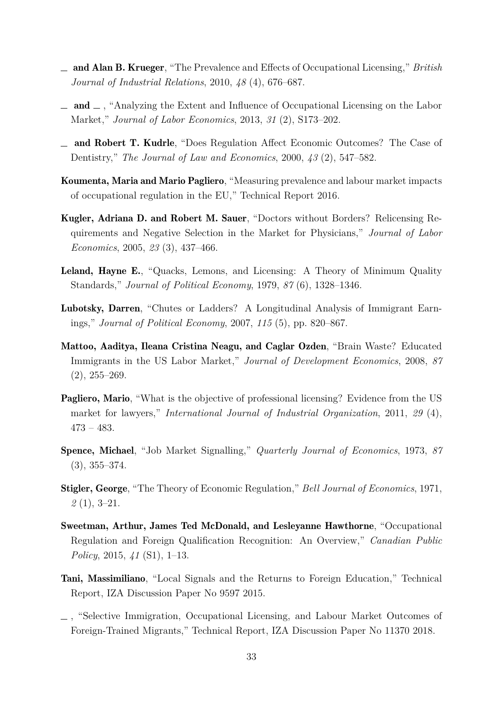- <span id="page-34-5"></span>and Alan B. Krueger, "The Prevalence and Effects of Occupational Licensing," *British Journal of Industrial Relations*, 2010, *48* (4), 676–687.
- <span id="page-34-6"></span> $\Box$  and  $\Box$ , "Analyzing the Extent and Influence of Occupational Licensing on the Labor Market," *Journal of Labor Economics*, 2013, *31* (2), S173–202.
- <span id="page-34-9"></span>and Robert T. Kudrle, "Does Regulation Affect Economic Outcomes? The Case of Dentistry," *The Journal of Law and Economics*, 2000, *43* (2), 547–582.
- <span id="page-34-1"></span>Koumenta, Maria and Mario Pagliero, "Measuring prevalence and labour market impacts of occupational regulation in the EU," Technical Report 2016.
- <span id="page-34-11"></span>Kugler, Adriana D. and Robert M. Sauer, "Doctors without Borders? Relicensing Requirements and Negative Selection in the Market for Physicians," *Journal of Labor Economics*, 2005, *23* (3), 437–466.
- <span id="page-34-2"></span>Leland, Hayne E., "Quacks, Lemons, and Licensing: A Theory of Minimum Quality Standards," *Journal of Political Economy*, 1979, *87* (6), 1328–1346.
- <span id="page-34-10"></span>Lubotsky, Darren, "Chutes or Ladders? A Longitudinal Analysis of Immigrant Earnings," *Journal of Political Economy*, 2007, *115* (5), pp. 820–867.
- <span id="page-34-3"></span>Mattoo, Aaditya, Ileana Cristina Neagu, and Caglar Ozden, "Brain Waste? Educated Immigrants in the US Labor Market," *Journal of Development Economics*, 2008, *87*  $(2), 255 - 269.$
- <span id="page-34-8"></span>**Pagliero, Mario**, "What is the objective of professional licensing? Evidence from the US market for lawyers," *International Journal of Industrial Organization*, 2011, *29* (4), 473 – 483.
- <span id="page-34-7"></span>Spence, Michael, "Job Market Signalling," *Quarterly Journal of Economics*, 1973, *87* (3), 355–374.
- <span id="page-34-4"></span>Stigler, George, "The Theory of Economic Regulation," *Bell Journal of Economics*, 1971, *2* (1), 3–21.
- <span id="page-34-0"></span>Sweetman, Arthur, James Ted McDonald, and Lesleyanne Hawthorne, "Occupational Regulation and Foreign Qualification Recognition: An Overview," *Canadian Public Policy*, 2015, *41* (S1), 1–13.
- <span id="page-34-13"></span>Tani, Massimiliano, "Local Signals and the Returns to Foreign Education," Technical Report, IZA Discussion Paper No 9597 2015.
- <span id="page-34-12"></span>, "Selective Immigration, Occupational Licensing, and Labour Market Outcomes of Foreign-Trained Migrants," Technical Report, IZA Discussion Paper No 11370 2018.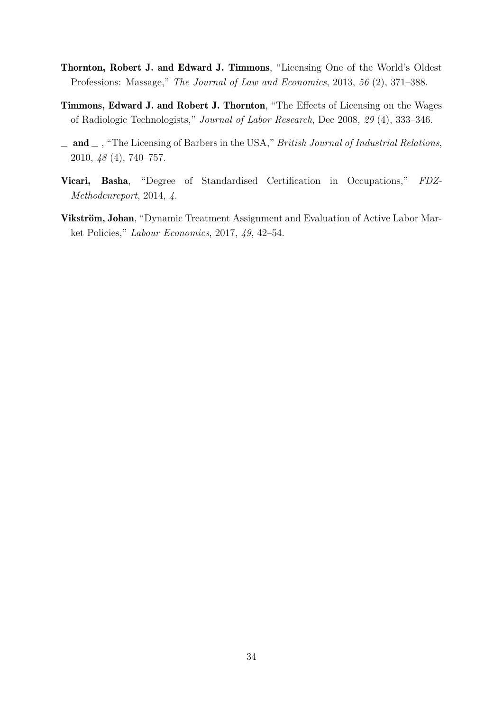- <span id="page-35-5"></span><span id="page-35-2"></span>Thornton, Robert J. and Edward J. Timmons, "Licensing One of the World's Oldest Professions: Massage," *The Journal of Law and Economics*, 2013, *56* (2), 371–388.
- <span id="page-35-0"></span>Timmons, Edward J. and Robert J. Thornton, "The Effects of Licensing on the Wages of Radiologic Technologists," *Journal of Labor Research*, Dec 2008, *29* (4), 333–346.
- <span id="page-35-1"></span>and , "The Licensing of Barbers in the USA," *British Journal of Industrial Relations*, 2010, *48* (4), 740–757.
- <span id="page-35-4"></span>Vicari, Basha, "Degree of Standardised Certification in Occupations," *FDZ-Methodenreport*, 2014, *4.*
- <span id="page-35-3"></span>Vikström, Johan, "Dynamic Treatment Assignment and Evaluation of Active Labor Market Policies," *Labour Economics*, 2017, *49*, 42–54.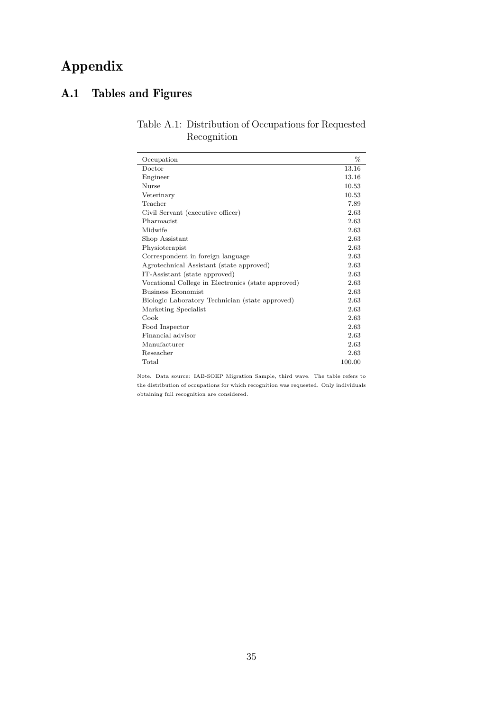## Appendix

## <span id="page-36-0"></span>A.1 Tables and Figures

| Table A.1: Distribution of Occupations for Requested |
|------------------------------------------------------|
| Recognition                                          |

| Occupation                                         | %      |
|----------------------------------------------------|--------|
| Doctor                                             | 13.16  |
| Engineer                                           | 13.16  |
| <b>Nurse</b>                                       | 10.53  |
| Veterinary                                         | 10.53  |
| Teacher                                            | 7.89   |
| Civil Servant (executive officer)                  | 2.63   |
| Pharmacist                                         | 2.63   |
| Midwife                                            | 2.63   |
| Shop Assistant                                     | 2.63   |
| Physioterapist                                     | 2.63   |
| Correspondent in foreign language                  | 2.63   |
| Agrotechnical Assistant (state approved)           | 2.63   |
| IT-Assistant (state approved)                      | 2.63   |
| Vocational College in Electronics (state approved) | 2.63   |
| Business Economist                                 | 2.63   |
| Biologic Laboratory Technician (state approved)    | 2.63   |
| Marketing Specialist                               | 2.63   |
| Cook                                               | 2.63   |
| Food Inspector                                     | 2.63   |
| Financial advisor                                  | 2.63   |
| Manufacturer                                       | 2.63   |
| Reseacher                                          | 2.63   |
| Total                                              | 100.00 |

Note. Data source: IAB-SOEP Migration Sample, third wave. The table refers to the distribution of occupations for which recognition was requested. Only individuals obtaining full recognition are considered.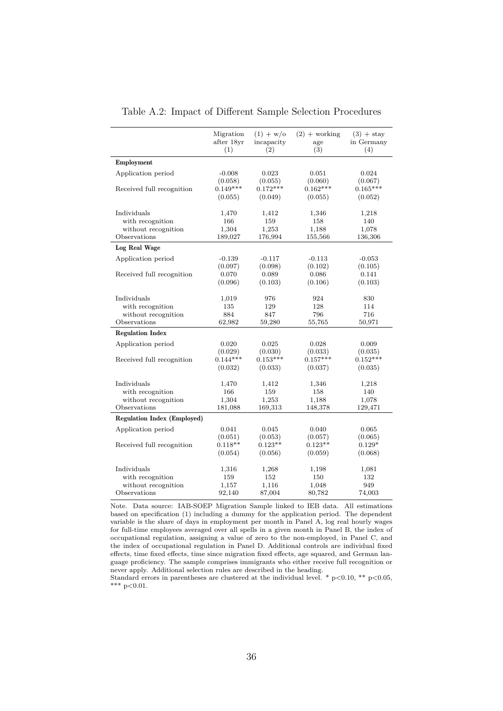<span id="page-37-0"></span>

|                                    | Migration<br>after 18yr<br>(1) | $(1) + w$ /o<br>incapacity<br>(2) | $(2) + \text{working}$<br>age<br>(3) | $(3) +$ stay<br>in Germany<br>(4) |
|------------------------------------|--------------------------------|-----------------------------------|--------------------------------------|-----------------------------------|
| Employment                         |                                |                                   |                                      |                                   |
| Application period                 | $-0.008$<br>(0.058)            | 0.023<br>(0.055)                  | 0.051<br>(0.060)                     | 0.024<br>(0.067)                  |
| Received full recognition          | $0.149***$<br>(0.055)          | $0.172***$<br>(0.049)             | $0.162***$<br>(0.055)                | $0.165***$<br>(0.052)             |
| Individuals                        | 1,470                          | 1,412                             | 1,346                                | 1,218                             |
| with recognition                   | 166                            | 159                               | 158                                  | 140                               |
| without recognition                | 1,304                          | 1,253                             | 1,188                                | 1,078                             |
| Observations                       | 189,027                        | 176,994                           | 155,566                              | 136,306                           |
| <b>Log Real Wage</b>               |                                |                                   |                                      |                                   |
| Application period                 | $-0.139$                       | $-0.117$                          | $-0.113$                             | $-0.053$                          |
|                                    | (0.097)                        | (0.098)                           | (0.102)                              | (0.105)                           |
| Received full recognition          | 0.070                          | 0.089                             | 0.086                                | 0.141                             |
|                                    | (0.096)                        | (0.103)                           | (0.106)                              | (0.103)                           |
| Individuals                        | 1,019                          | 976                               | 924                                  | 830                               |
| with recognition                   | 135                            | 129                               | 128                                  | 114                               |
| without recognition                | 884                            | 847                               | 796                                  | 716                               |
| Observations                       | 62,982                         | 59,280                            | 55,765                               | 50,971                            |
| <b>Regulation Index</b>            |                                |                                   |                                      |                                   |
| Application period                 | 0.020                          | 0.025                             | 0.028                                | 0.009                             |
|                                    | (0.029)                        | (0.030)                           | (0.033)                              | (0.035)                           |
| Received full recognition          | $0.144***$                     | $0.153***$                        | $0.157***$                           | $0.152***$                        |
|                                    | (0.032)                        | (0.033)                           | (0.037)                              | (0.035)                           |
| Individuals                        | 1,470                          | 1,412                             | 1,346                                | 1,218                             |
| with recognition                   | 166                            | 159                               | 158                                  | 140                               |
| without recognition                | 1,304                          | 1,253                             | 1,188                                | 1,078                             |
| Observations                       | 181,088                        | 169,313                           | 148,378                              | 129,471                           |
| <b>Regulation Index (Employed)</b> |                                |                                   |                                      |                                   |
| Application period                 | 0.041                          | 0.045                             | 0.040                                | 0.065                             |
|                                    | (0.051)                        | (0.053)                           | (0.057)                              | (0.065)                           |
| Received full recognition          | $0.118**$                      | $0.123**$                         | $0.123**$                            | $0.129*$                          |
|                                    | (0.054)                        | (0.056)                           | (0.059)                              | (0.068)                           |
| Individuals                        | 1,316                          | 1,268                             | 1,198                                | 1,081                             |
| with recognition                   | 159                            | 152                               | 150                                  | 132                               |
| without recognition                | 1,157                          | 1,116                             | 1,048                                | 949                               |
| Observations                       | 92,140                         | 87,004                            | 80,782                               | 74,003                            |

Table A.2: Impact of Different Sample Selection Procedures

Note. Data source: IAB-SOEP Migration Sample linked to IEB data. All estimations based on specification [\(1\)](#page-10-2) including a dummy for the application period. The dependent variable is the share of days in employment per month in Panel A, log real hourly wages for full-time employees averaged over all spells in a given month in Panel B, the index of occupational regulation, assigning a value of zero to the non-employed, in Panel C, and the index of occupational regulation in Panel D. Additional controls are individual fixed effects, time fixed effects, time since migration fixed effects, age squared, and German language proficiency. The sample comprises immigrants who either receive full recognition or never apply. Additional selection rules are described in the heading.

Standard errors in parentheses are clustered at the individual level. \*  $p < 0.10$ , \*\*  $p < 0.05$ , \*\*\*  $p < 0.01$ .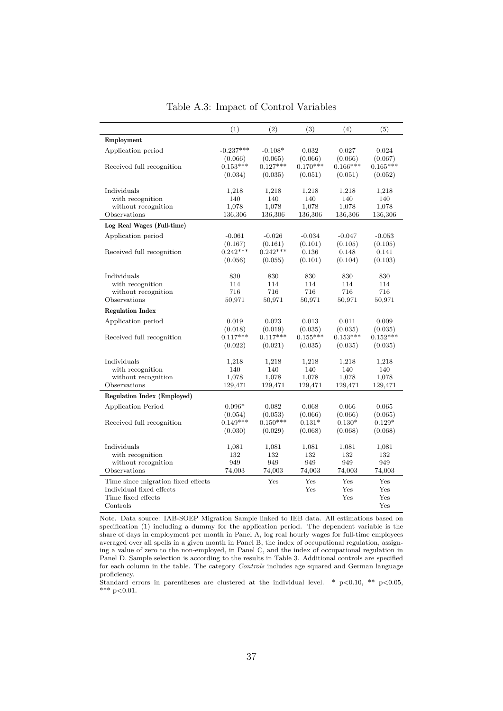<span id="page-38-0"></span>

|                                    | (1)         | (2)        | (3)        | (4)        | (5)        |
|------------------------------------|-------------|------------|------------|------------|------------|
| Employment                         |             |            |            |            |            |
| Application period                 | $-0.237***$ | $-0.108*$  | 0.032      | 0.027      | 0.024      |
|                                    | (0.066)     | (0.065)    | (0.066)    | (0.066)    | (0.067)    |
| Received full recognition          | $0.153***$  | $0.127***$ | $0.170***$ | $0.166***$ | $0.165***$ |
|                                    | (0.034)     | (0.035)    | (0.051)    | (0.051)    | (0.052)    |
| Individuals                        | 1,218       | 1,218      | 1,218      | 1,218      | 1,218      |
| with recognition                   | 140         | 140        | 140        | 140        | 140        |
| without recognition                | 1,078       | 1,078      | 1,078      | 1,078      | 1,078      |
| Observations                       | 136,306     | 136,306    | 136,306    | 136,306    | 136,306    |
| Log Real Wages (Full-time)         |             |            |            |            |            |
| Application period                 | $-0.061$    | $-0.026$   | $-0.034$   | $-0.047$   | $-0.053$   |
|                                    | (0.167)     | (0.161)    | (0.101)    | (0.105)    | (0.105)    |
| Received full recognition          | $0.242***$  | $0.242***$ | 0.136      | 0.148      | 0.141      |
|                                    | (0.056)     | (0.055)    | (0.101)    | (0.104)    | (0.103)    |
|                                    |             |            |            |            |            |
| Individuals<br>with recognition    | 830<br>114  | 830<br>114 | 830<br>114 | 830<br>114 | 830<br>114 |
| without recognition                | 716         | 716        | 716        | 716        | 716        |
| Observations                       | 50,971      | 50,971     | 50,971     | 50,971     | 50,971     |
| <b>Regulation Index</b>            |             |            |            |            |            |
|                                    |             |            |            |            |            |
| Application period                 | 0.019       | 0.023      | 0.013      | 0.011      | 0.009      |
|                                    | (0.018)     | (0.019)    | (0.035)    | (0.035)    | (0.035)    |
| Received full recognition          | $0.117***$  | $0.117***$ | $0.155***$ | $0.153***$ | $0.152***$ |
|                                    | (0.022)     | (0.021)    | (0.035)    | (0.035)    | (0.035)    |
| Individuals                        | 1,218       | 1,218      | 1,218      | 1,218      | 1,218      |
| with recognition                   | 140         | 140        | 140        | 140        | 140        |
| without recognition                | 1,078       | 1,078      | 1,078      | 1,078      | 1,078      |
| Observations                       | 129,471     | 129,471    | 129,471    | 129,471    | 129,471    |
| <b>Regulation Index (Employed)</b> |             |            |            |            |            |
| <b>Application Period</b>          | $0.096*$    | 0.082      | 0.068      | 0.066      | 0.065      |
|                                    | (0.054)     | (0.053)    | (0.066)    | (0.066)    | (0.065)    |
| Received full recognition          | $0.149***$  | $0.150***$ | $0.131*$   | $0.130*$   | $0.129*$   |
|                                    | (0.030)     | (0.029)    | (0.068)    | (0.068)    | (0.068)    |
| Individuals                        | 1,081       | 1,081      | 1,081      | 1,081      | 1,081      |
| with recognition                   | 132         | 132        | 132        | 132        | 132        |
| without recognition                | 949         | 949        | 949        | 949        | 949        |
| Observations                       | 74,003      | 74,003     | 74,003     | 74,003     | 74,003     |
| Time since migration fixed effects |             | Yes        | Yes        | Yes        | Yes        |
| Individual fixed effects           |             |            | Yes        | Yes        | Yes        |
| Time fixed effects                 |             |            |            | Yes        | Yes        |
| Controls                           |             |            |            |            | Yes        |

Table A.3: Impact of Control Variables

Note. Data source: IAB-SOEP Migration Sample linked to IEB data. All estimations based on specification [\(1\)](#page-10-2) including a dummy for the application period. The dependent variable is the share of days in employment per month in Panel A, log real hourly wages for full-time employees averaged over all spells in a given month in Panel B, the index of occupational regulation, assigning a value of zero to the non-employed, in Panel C, and the index of occupational regulation in Panel D. Sample selection is according to the results in Table [3.](#page-20-0) Additional controls are specified for each column in the table. The category *Controls* includes age squared and German language proficiency.

Standard errors in parentheses are clustered at the individual level. \*  $p<0.10$ , \*\*  $p<0.05$ , \*\*\*  $p<0.01$ .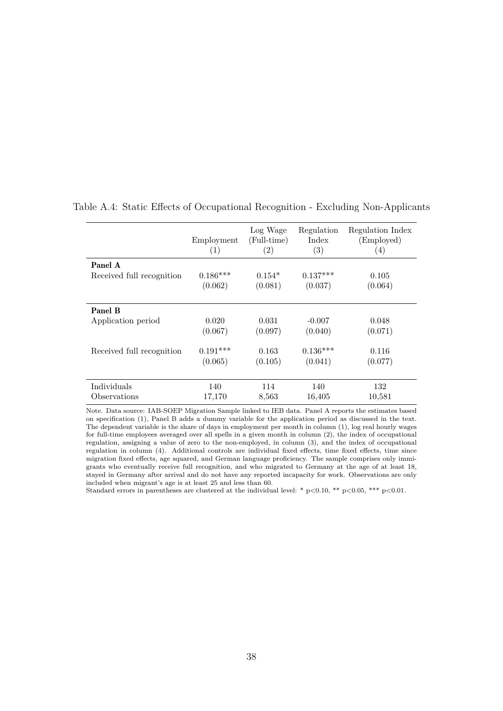|                           | Employment<br>(1) | Log Wage<br>(Full-time)<br>$\left( 2\right)$ | Regulation<br>Index<br>$\left( 3\right)$ | Regulation Index<br>(Employed)<br>$\left( 4\right)$ |
|---------------------------|-------------------|----------------------------------------------|------------------------------------------|-----------------------------------------------------|
| Panel A                   |                   |                                              |                                          |                                                     |
| Received full recognition | $0.186***$        | $0.154*$                                     | $0.137***$                               | 0.105                                               |
|                           | (0.062)           | (0.081)                                      | (0.037)                                  | (0.064)                                             |
|                           |                   |                                              |                                          |                                                     |
| <b>Panel B</b>            |                   |                                              |                                          |                                                     |
| Application period        | 0.020             | 0.031                                        | $-0.007$                                 | 0.048                                               |
|                           | (0.067)           | (0.097)                                      | (0.040)                                  | (0.071)                                             |
| Received full recognition | $0.191***$        | 0.163                                        | $0.136***$                               | 0.116                                               |
|                           | (0.065)           | (0.105)                                      | (0.041)                                  | (0.077)                                             |
|                           |                   |                                              |                                          |                                                     |
| Individuals               | 140               | 114                                          | 140                                      | 132                                                 |
| Observations              | 17,170            | 8,563                                        | 16,405                                   | 10,581                                              |

<span id="page-39-0"></span>Table A.4: Static Effects of Occupational Recognition - Excluding Non-Applicants

Note. Data source: IAB-SOEP Migration Sample linked to IEB data. Panel A reports the estimates based on specification [\(1\)](#page-10-2), Panel B adds a dummy variable for the application period as discussed in the text. The dependent variable is the share of days in employment per month in column (1), log real hourly wages for full-time employees averaged over all spells in a given month in column (2), the index of occupational regulation, assigning a value of zero to the non-employed, in column (3), and the index of occupational regulation in column (4). Additional controls are individual fixed effects, time fixed effects, time since migration fixed effects, age squared, and German language proficiency. The sample comprises only immigrants who eventually receive full recognition, and who migrated to Germany at the age of at least 18, stayed in Germany after arrival and do not have any reported incapacity for work. Observations are only included when migrant's age is at least 25 and less than 60.

Standard errors in parentheses are clustered at the individual level: \*  $p<0.10$ , \*\*  $p<0.05$ , \*\*\*  $p<0.01$ .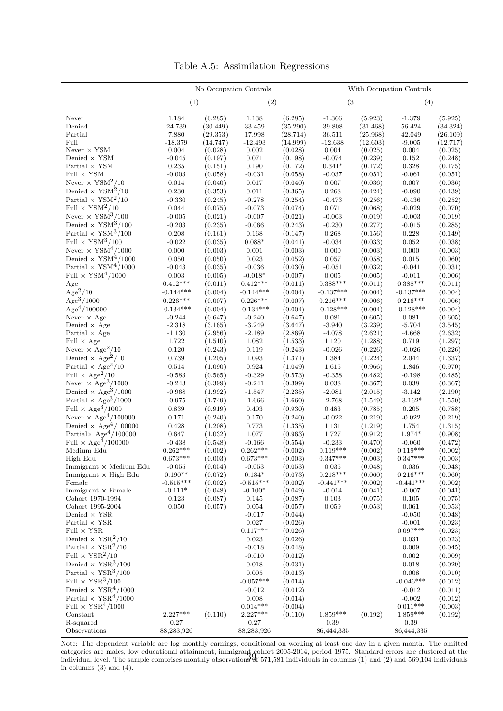|  | Table A.5: Assimilation Regressions |  |
|--|-------------------------------------|--|
|--|-------------------------------------|--|

<span id="page-40-0"></span>

|                                                                             | No Occupation Controls |                    |                        | With Occupation Controls |                      |                    |                     |                    |  |
|-----------------------------------------------------------------------------|------------------------|--------------------|------------------------|--------------------------|----------------------|--------------------|---------------------|--------------------|--|
|                                                                             | (1)                    |                    |                        | (2)                      |                      | (3)                |                     | (4)                |  |
| Never                                                                       | 1.184                  | (6.285)            | 1.138                  | (6.285)                  | $-1.366$             | (5.923)            | $-1.379$            | (5.925)            |  |
| Denied                                                                      | 24.739                 | (30.449)           | 33.459                 | (35.290)                 | 39.808               | (31.468)           | 56.424              | (34.324)           |  |
| Partial                                                                     | 7.880                  | (29.353)           | 17.998                 | (28.714)                 | 36.511               | (25.968)           | 42.049              | (26.109)           |  |
| Full                                                                        | $-18.379$              | (14.747)           | $-12.493$              | (14.999)                 | $-12.638$            | (12.603)           | $-9.005$            | (12.717)           |  |
| Never $\times$ YSM                                                          | 0.004                  | (0.028)            | 0.002                  | (0.028)                  | $\,0.004\,$          | (0.025)            | 0.004               | (0.025)            |  |
| Denied $\times$ YSM<br>Partial $\times$ YSM                                 | $-0.045$<br>0.235      | (0.197)<br>(0.151) | 0.071<br>0.190         | (0.198)<br>(0.172)       | $-0.074$<br>$0.341*$ | (0.239)<br>(0.172) | 0.152<br>0.328      | (0.248)<br>(0.175) |  |
| Full $\times$ YSM                                                           | $-0.003$               | (0.058)            | $-0.031$               | (0.058)                  | $-0.037$             | (0.051)            | $-0.061$            | (0.051)            |  |
| Never $\times$ YSM <sup>2</sup> /10                                         | 0.014                  | (0.040)            | $0.017\,$              | (0.040)                  | $0.007\,$            | (0.036)            | 0.007               | (0.036)            |  |
| Denied $\times$ YSM <sup>2</sup> /10                                        | 0.230                  | (0.353)            | 0.011                  | (0.365)                  | 0.268                | (0.424)            | $-0.090$            | (0.439)            |  |
| Partial $\times$ YSM <sup>2</sup> /10                                       | $-0.330$               | (0.245)            | $-0.278$               | (0.254)                  | $-0.473$             | (0.256)            | $-0.436$            | (0.252)            |  |
| Full $\times$ YSM <sup>2</sup> /10                                          | 0.044                  | (0.075)            | $-0.073$               | (0.074)                  | $0.071\,$            | (0.068)            | $-0.029$            | (0.070)            |  |
| Never $\times$ YSM <sup>3</sup> /100                                        | $-0.005$               | (0.021)            | $-0.007$               | (0.021)                  | $-0.003$             | (0.019)            | $-0.003$            | (0.019)            |  |
| Denied $\times$ ${\rm YSM^3/100}$                                           | $-0.203$               | (0.235)            | $-0.066$               | (0.243)                  | $-0.230$             | (0.277)            | $-0.015$            | (0.285)            |  |
| Partial $\times$ YSM <sup>3</sup> /100                                      | 0.208                  | (0.161)            | 0.168                  | (0.147)                  | $0.268\,$            | (0.156)            | 0.228               | (0.149)            |  |
| Full $\times$ YSM <sup>3</sup> /100                                         | $-0.022$               | (0.035)            | $0.088*$               | (0.041)                  | $-0.034$             | (0.033)            | 0.052               | (0.038)            |  |
| Never $\times$ YSM <sup>4</sup> /1000                                       | 0.000                  | (0.003)            | 0.001                  | (0.003)                  | 0.000                | (0.003)            | 0.000               | (0.003)            |  |
| Denied $\times$ YSM <sup>4</sup> /1000                                      | $0.050\,$              | (0.050)            | 0.023                  | (0.052)                  | $0.057\,$            | (0.058)            | 0.015               | (0.060)            |  |
| Partial $\times$ YSM <sup>4</sup> /1000                                     | $-0.043$               | (0.035)            | $-0.036$               | (0.030)                  | $-0.051$             | (0.032)            | $-0.041$            | (0.031)            |  |
| Full $\times$ ${\rm YSM^4}/1000$                                            | $\,0.003\,$            | (0.005)            | $-0.018*$              | (0.007)                  | 0.005                | (0.005)            | $-0.011$            | (0.006)            |  |
| Age                                                                         | $0.412***$             | (0.011)            | $0.412***$             | (0.011)                  | $0.388***$           | (0.011)            | $0.388***$          | (0.011)            |  |
| $Age^2/10$                                                                  | $-0.144***$            | (0.004)            | $-0.144***$            | (0.004)                  | $-0.137***$          | (0.004)            | $-0.137***$         | (0.004)            |  |
| Age <sup>3</sup> /1000                                                      | $0.226***$             | (0.007)            | $0.226***$             | (0.007)                  | $0.216***$           | (0.006)            | $0.216***$          | (0.006)            |  |
| Age <sup>4</sup> /100000                                                    | $-0.134***$            | (0.004)            | $-0.134***$            | (0.004)                  | $-0.128***$          | (0.004)            | $-0.128***$         | (0.004)            |  |
| Never $\times$ Age<br>Denied $\times$ Age                                   | $-0.244$<br>$-2.318$   | (0.647)<br>(3.165) | $-0.240$<br>$-3.249$   | (0.647)<br>(3.647)       | 0.081<br>$-3.940$    | (0.605)<br>(3.239) | 0.081<br>$-5.704$   | (0.605)<br>(3.545) |  |
| Partial $\times$ Age                                                        | $-1.130$               | (2.956)            | $-2.189$               | (2.869)                  | $-4.078$             | (2.621)            | $-4.668$            | (2.632)            |  |
| Full $\times$ Age                                                           | 1.722                  | (1.510)            | 1.082                  | (1.533)                  | 1.120                | (1.288)            | 0.719               | (1.297)            |  |
| Never $\times$ Age <sup>2</sup> /10                                         | 0.120                  | (0.243)            | 0.119                  | (0.243)                  | $-0.026$             | (0.226)            | $-0.026$            | (0.226)            |  |
| Denied $\times$ Age <sup>2</sup> /10                                        | 0.739                  | (1.205)            | 1.093                  | (1.371)                  | $1.384\,$            | (1.224)            | 2.044               | (1.337)            |  |
| Partial $\times$ Age <sup>2</sup> /10                                       | 0.514                  | (1.090)            | 0.924                  | (1.049)                  | $1.615\,$            | (0.966)            | 1.846               | (0.970)            |  |
| Full $\times$ Age <sup>2</sup> /10                                          | $-0.583$               | (0.565)            | $-0.329$               | (0.573)                  | $-0.358$             | (0.482)            | $-0.198$            | (0.485)            |  |
| Never $\times$ Age <sup>3</sup> /1000                                       | $-0.243$               | (0.399)            | $-0.241$               | (0.399)                  | $\,0.038\,$          | (0.367)            | 0.038               | (0.367)            |  |
| Denied $\times$ Age <sup>3</sup> /1000                                      | $-0.968$               | (1.992)            | $-1.547$               | (2.235)                  | $-2.081$             | (2.015)            | $-3.142$            | (2.190)            |  |
| Partial $\times$ Age <sup>3</sup> /1000                                     | $-0.975$               | (1.749)            | $-1.666$               | (1.660)                  | $-2.768$             | (1.549)            | $-3.162*$           | (1.550)            |  |
| Full $\times$ Age <sup>3</sup> /1000                                        | 0.839                  | (0.919)            | 0.403                  | (0.930)                  | $\,0.483\,$          | (0.785)            | 0.205               | (0.788)            |  |
| Never $\times$ Age <sup>4</sup> /100000                                     | 0.171                  | (0.240)            | 0.170                  | (0.240)                  | $-0.022$             | (0.219)            | $-0.022$            | (0.219)            |  |
| Denied $\times$ Age <sup>4</sup> /100000                                    | 0.428                  | (1.208)            | 0.773                  | (1.335)                  | $1.131\,$            | (1.219)            | 1.754               | (1.315)            |  |
| Partial $\times$ Age <sup>4</sup> /100000                                   | $0.647\,$              | (1.032)            | 1.077                  | (0.963)                  | $1.727\,$            | (0.912)            | $1.974*$            | (0.908)            |  |
| Full $\times$ Age <sup>4</sup> /100000                                      | $-0.438$               | (0.548)            | $-0.166$               | (0.554)                  | $-0.233$             | (0.470)            | $-0.060$            | (0.472)            |  |
| Medium Edu                                                                  | $0.262***$             | (0.002)            | $0.262***$             | (0.002)                  | $0.119***$           | (0.002)            | $0.119***$          | (0.002)            |  |
| High Edu<br>$Immigrant \times Medium Edu$                                   | $0.673***$<br>$-0.055$ | (0.003)<br>(0.054) | $0.673***$<br>$-0.053$ | (0.003)<br>(0.053)       | $0.347***$<br>0.035  | (0.003)<br>(0.048) | $0.347***$<br>0.036 | (0.003)<br>(0.048) |  |
| Immigrant $\times$ High Edu                                                 | $0.190**$              | (0.072)            | $0.184^{\ast}$         | (0.073)                  | $0.218***$           | (0.060)            | $0.216***$          | (0.060)            |  |
| Female                                                                      | $-0.515***$            | (0.002)            | $-0.515***$            | (0.002)                  | $-0.441***$          | (0.002)            | $-0.441***$         | (0.002)            |  |
| Immigrant $\times$ Female                                                   | $-0.111*$              | (0.048)            | $-0.100*$              | (0.049)                  | $-0.014$             | (0.041)            | $-0.007$            | (0.041)            |  |
| Cohort 1970-1994                                                            | 0.123                  | (0.087)            | 0.145                  | (0.087)                  | 0.103                | (0.075)            | 0.105               | (0.075)            |  |
| Cohort 1995-2004                                                            | 0.050                  | (0.057)            | 0.054                  | (0.057)                  | 0.059                | (0.053)            | 0.061               | (0.053)            |  |
| Denied $\times$ YSR                                                         |                        |                    | $-0.017$               | (0.044)                  |                      |                    | $-0.050$            | (0.048)            |  |
| Partial $\times$ YSR                                                        |                        |                    | 0.027                  | (0.026)                  |                      |                    | $-0.001$            | (0.023)            |  |
| Full $\times$ YSR                                                           |                        |                    | $0.117***$             | (0.026)                  |                      |                    | $0.097***$          | (0.023)            |  |
| Denied $\times$ YSR <sup>2</sup> /10                                        |                        |                    | 0.023                  | (0.026)                  |                      |                    | 0.031               | (0.023)            |  |
| Partial $\times$ YSR <sup>2</sup> /10<br>Full $\times$ YSR <sup>2</sup> /10 |                        |                    | $-0.018$               | (0.048)                  |                      |                    | 0.009               | (0.045)            |  |
| Denied $\times$ YSR <sup>3</sup> /100                                       |                        |                    | $-0.010$<br>0.018      | (0.012)<br>(0.031)       |                      |                    | 0.002<br>0.018      | (0.009)<br>(0.029) |  |
| Partial $\times$ YSR <sup>3</sup> /100                                      |                        |                    | 0.005                  | (0.013)                  |                      |                    | 0.008               | (0.010)            |  |
| Full $\times$ YSR <sup>3</sup> /100                                         |                        |                    | $-0.057***$            | (0.014)                  |                      |                    | $-0.046***$         | (0.012)            |  |
| Denied $\times$ YSR <sup>4</sup> /1000                                      |                        |                    | $-0.012$               | (0.012)                  |                      |                    | $-0.012$            | (0.011)            |  |
| Partial $\times$ YSR <sup>4</sup> /1000                                     |                        |                    | 0.008                  | (0.014)                  |                      |                    | $-0.002$            | (0.012)            |  |
| Full $\times$ YSR <sup>4</sup> /1000                                        |                        |                    | $0.014***$             | (0.004)                  |                      |                    | $0.011***$          | (0.003)            |  |
| Constant                                                                    | $2.227***$             | (0.110)            | $2.227***$             | (0.110)                  | $1.859***$           | (0.192)            | $1.859***$          | (0.192)            |  |
| R-squared                                                                   | 0.27                   |                    | 0.27                   |                          | 0.39                 |                    | $0.39\,$            |                    |  |
| Observations                                                                | 88,283,926             |                    | 88,283,926             |                          | 86,444,335           |                    | 86,444,335          |                    |  |

Note: The dependent variable are log monthly earnings, conditional on working at least one day in a given month. The omitted categories are males, low educational attainment, immigrant cohort 2005-2014, period 1975. Standard errors are clustered at the individual level. The sample comprises monthly observations of 571,581 individuals in columns (1) and (2) and 569,104 individuals in columns (3) and 569,104 individuals in columns (3) and (4).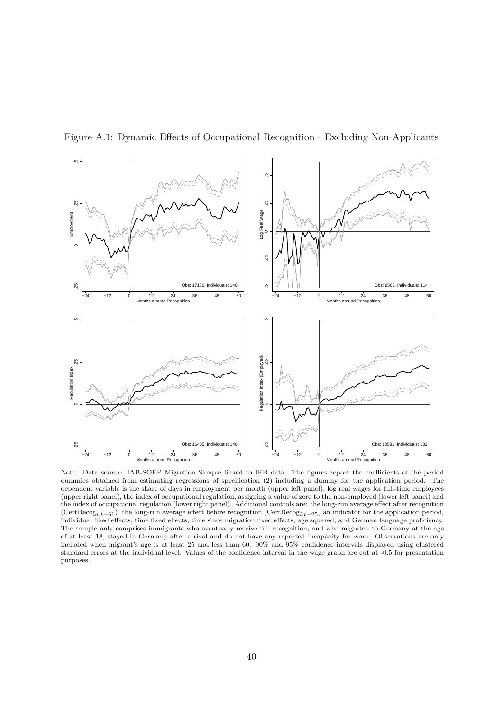

<span id="page-41-0"></span>Figure A.1: Dynamic Effects of Occupational Recognition - Excluding Non-Applicants

Note. Data source: IAB-SOEP Migration Sample linked to IEB data. The figures report the coefficients of the period dummies obtained from estimating regressions of specification [\(2\)](#page-12-0) including a dummy for the application period. The dependent variable is the share of days in employment per month (upper left panel), log real wages for full-time employees (upper right panel), the index of occupational regulation, assigning a value of zero to the non-employed (lower left panel) and the index of occupational regulation (lower right panel). Additional controls are: the long-run average effect after recognition (CertRecog*i,t*−61), the long-run average effect before recognition (CertRecog*i,t*+25) an indicator for the application period, individual fixed effects, time fixed effects, time since migration fixed effects, age squared, and German language proficiency. The sample only comprises immigrants who eventually receive full recognition, and who migrated to Germany at the age of at least 18, stayed in Germany after arrival and do not have any reported incapacity for work. Observations are only included when migrant's age is at least 25 and less than 60. 90% and 95% confidence intervals displayed using clustered standard errors at the individual level. Values of the confidence interval in the wage graph are cut at -0.5 for presentation purposes.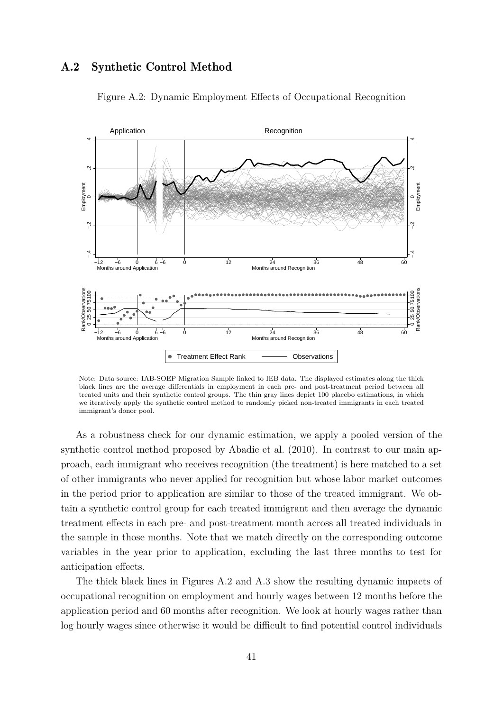#### <span id="page-42-1"></span><span id="page-42-0"></span>A.2 Synthetic Control Method



Figure A.2: Dynamic Employment Effects of Occupational Recognition

Note: Data source: IAB-SOEP Migration Sample linked to IEB data. The displayed estimates along the thick black lines are the average differentials in employment in each pre- and post-treatment period between all treated units and their synthetic control groups. The thin gray lines depict 100 placebo estimations, in which we iteratively apply the synthetic control method to randomly picked non-treated immigrants in each treated immigrant's donor pool.

As a robustness check for our dynamic estimation, we apply a pooled version of the synthetic control method proposed by [Abadie et al.](#page-32-8) [\(2010\)](#page-32-8). In contrast to our main approach, each immigrant who receives recognition (the treatment) is here matched to a set of other immigrants who never applied for recognition but whose labor market outcomes in the period prior to application are similar to those of the treated immigrant. We obtain a synthetic control group for each treated immigrant and then average the dynamic treatment effects in each pre- and post-treatment month across all treated individuals in the sample in those months. Note that we match directly on the corresponding outcome variables in the year prior to application, excluding the last three months to test for anticipation effects.

The thick black lines in Figures [A.2](#page-42-1) and [A.3](#page-43-0) show the resulting dynamic impacts of occupational recognition on employment and hourly wages between 12 months before the application period and 60 months after recognition. We look at hourly wages rather than log hourly wages since otherwise it would be difficult to find potential control individuals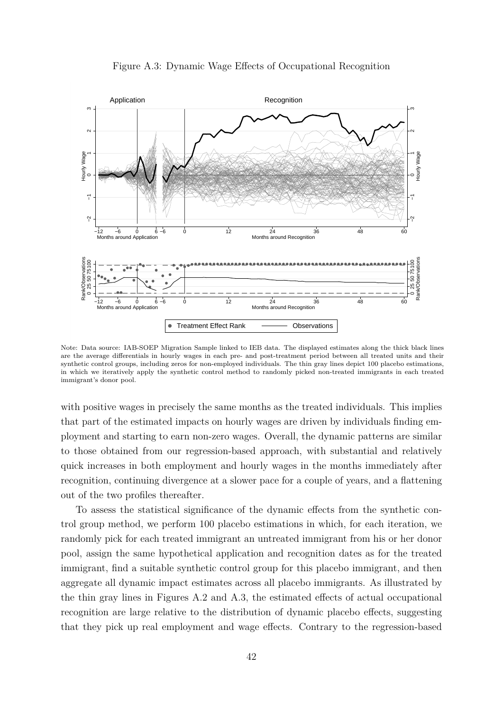<span id="page-43-0"></span>

Figure A.3: Dynamic Wage Effects of Occupational Recognition

Note: Data source: IAB-SOEP Migration Sample linked to IEB data. The displayed estimates along the thick black lines are the average differentials in hourly wages in each pre- and post-treatment period between all treated units and their synthetic control groups, including zeros for non-employed individuals. The thin gray lines depict 100 placebo estimations, in which we iteratively apply the synthetic control method to randomly picked non-treated immigrants in each treated immigrant's donor pool.

with positive wages in precisely the same months as the treated individuals. This implies that part of the estimated impacts on hourly wages are driven by individuals finding employment and starting to earn non-zero wages. Overall, the dynamic patterns are similar to those obtained from our regression-based approach, with substantial and relatively quick increases in both employment and hourly wages in the months immediately after recognition, continuing divergence at a slower pace for a couple of years, and a flattening out of the two profiles thereafter.

To assess the statistical significance of the dynamic effects from the synthetic control group method, we perform 100 placebo estimations in which, for each iteration, we randomly pick for each treated immigrant an untreated immigrant from his or her donor pool, assign the same hypothetical application and recognition dates as for the treated immigrant, find a suitable synthetic control group for this placebo immigrant, and then aggregate all dynamic impact estimates across all placebo immigrants. As illustrated by the thin gray lines in Figures [A.2](#page-42-1) and [A.3,](#page-43-0) the estimated effects of actual occupational recognition are large relative to the distribution of dynamic placebo effects, suggesting that they pick up real employment and wage effects. Contrary to the regression-based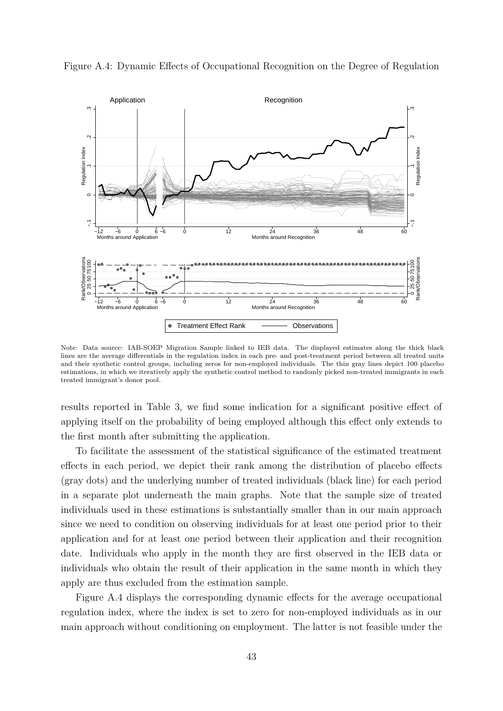

<span id="page-44-0"></span>Figure A.4: Dynamic Effects of Occupational Recognition on the Degree of Regulation

Note: Data source: IAB-SOEP Migration Sample linked to IEB data. The displayed estimates along the thick black lines are the average differentials in the regulation index in each pre- and post-treatment period between all treated units and their synthetic control groups, including zeros for non-employed individuals. The thin gray lines depict 100 placebo estimations, in which we iteratively apply the synthetic control method to randomly picked non-treated immigrants in each treated immigrant's donor pool.

results reported in Table [3,](#page-20-0) we find some indication for a significant positive effect of applying itself on the probability of being employed although this effect only extends to the first month after submitting the application.

To facilitate the assessment of the statistical significance of the estimated treatment effects in each period, we depict their rank among the distribution of placebo effects (gray dots) and the underlying number of treated individuals (black line) for each period in a separate plot underneath the main graphs. Note that the sample size of treated individuals used in these estimations is substantially smaller than in our main approach since we need to condition on observing individuals for at least one period prior to their application and for at least one period between their application and their recognition date. Individuals who apply in the month they are first observed in the IEB data or individuals who obtain the result of their application in the same month in which they apply are thus excluded from the estimation sample.

Figure [A.4](#page-44-0) displays the corresponding dynamic effects for the average occupational regulation index, where the index is set to zero for non-employed individuals as in our main approach without conditioning on employment. The latter is not feasible under the